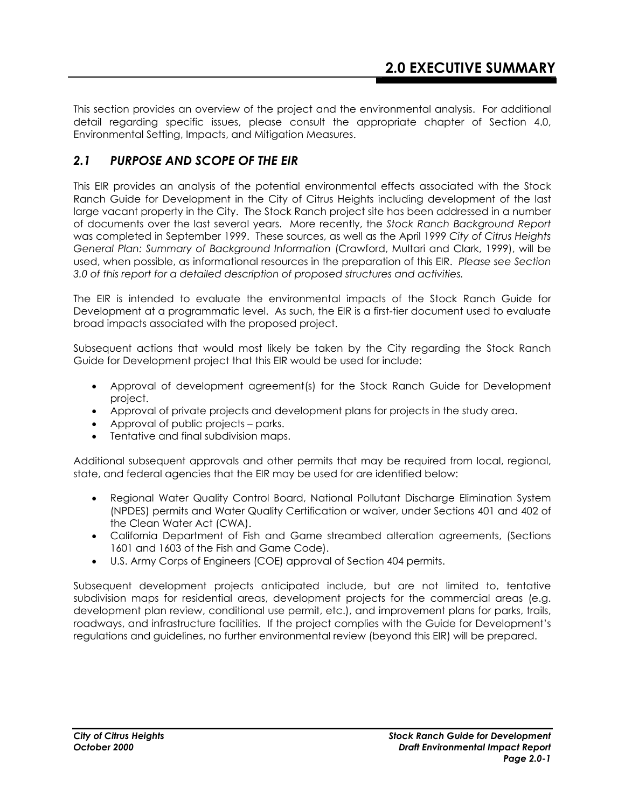This section provides an overview of the project and the environmental analysis. For additional detail regarding specific issues, please consult the appropriate chapter of Section 4.0, Environmental Setting, Impacts, and Mitigation Measures.

#### *2.1 PURPOSE AND SCOPE OF THE EIR*

This EIR provides an analysis of the potential environmental effects associated with the Stock Ranch Guide for Development in the City of Citrus Heights including development of the last large vacant property in the City. The Stock Ranch project site has been addressed in a number of documents over the last several years. More recently, the *Stock Ranch Background Report* was completed in September 1999. These sources, as well as the April 1999 *City of Citrus Heights General Plan: Summary of Background Information* (Crawford, Multari and Clark, 1999), will be used, when possible, as informational resources in the preparation of this EIR. *Please see Section 3.0 of this report for a detailed description of proposed structures and activities.* 

The EIR is intended to evaluate the environmental impacts of the Stock Ranch Guide for Development at a programmatic level. As such, the EIR is a first-tier document used to evaluate broad impacts associated with the proposed project.

Subsequent actions that would most likely be taken by the City regarding the Stock Ranch Guide for Development project that this EIR would be used for include:

- Approval of development agreement(s) for the Stock Ranch Guide for Development project.
- Approval of private projects and development plans for projects in the study area.
- Approval of public projects parks.
- Tentative and final subdivision maps.

Additional subsequent approvals and other permits that may be required from local, regional, state, and federal agencies that the EIR may be used for are identified below:

- Regional Water Quality Control Board, National Pollutant Discharge Elimination System (NPDES) permits and Water Quality Certification or waiver, under Sections 401 and 402 of the Clean Water Act (CWA).
- California Department of Fish and Game streambed alteration agreements, (Sections 1601 and 1603 of the Fish and Game Code).
- U.S. Army Corps of Engineers (COE) approval of Section 404 permits.

Subsequent development projects anticipated include, but are not limited to, tentative subdivision maps for residential areas, development projects for the commercial areas (e.g. development plan review, conditional use permit, etc.), and improvement plans for parks, trails, roadways, and infrastructure facilities. If the project complies with the Guide for Development's regulations and guidelines, no further environmental review (beyond this EIR) will be prepared.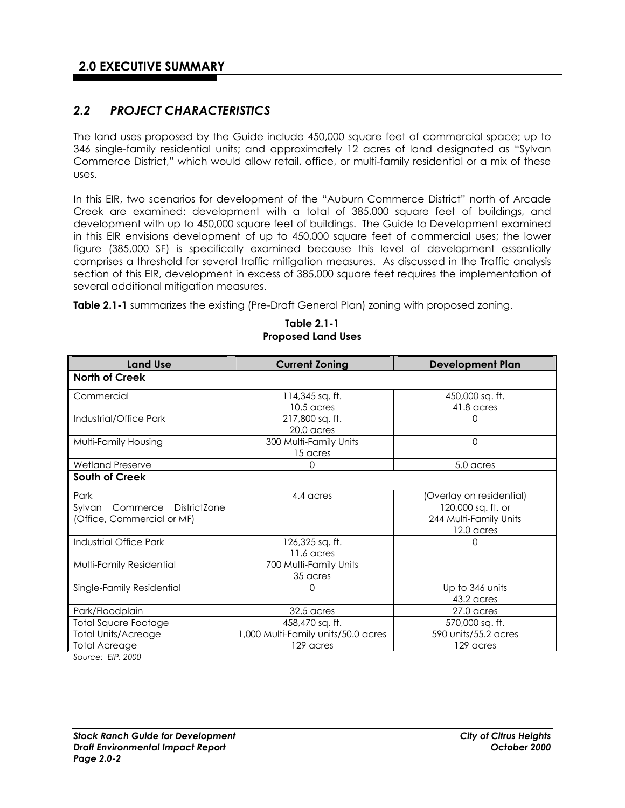#### *2.2 PROJECT CHARACTERISTICS*

The land uses proposed by the Guide include 450,000 square feet of commercial space; up to 346 single-family residential units; and approximately 12 acres of land designated as "Sylvan Commerce District," which would allow retail, office, or multi-family residential or a mix of these uses.

In this EIR, two scenarios for development of the "Auburn Commerce District" north of Arcade Creek are examined: development with a total of 385,000 square feet of buildings, and development with up to 450,000 square feet of buildings. The Guide to Development examined in this EIR envisions development of up to 450,000 square feet of commercial uses; the lower figure (385,000 SF) is specifically examined because this level of development essentially comprises a threshold for several traffic mitigation measures. As discussed in the Traffic analysis section of this EIR, development in excess of 385,000 square feet requires the implementation of several additional mitigation measures.

**Table 2.1-1** summarizes the existing (Pre-Draft General Plan) zoning with proposed zoning.

| <b>Land Use</b>                           | <b>Current Zoning</b>               | <b>Development Plan</b>  |
|-------------------------------------------|-------------------------------------|--------------------------|
| <b>North of Creek</b>                     |                                     |                          |
| Commercial                                | 114,345 sq. ft.                     | 450,000 sq. ft.          |
|                                           | 10.5 acres                          | 41.8 acres               |
| Industrial/Office Park                    | 217,800 sq. ft.                     |                          |
|                                           | 20.0 acres                          |                          |
| Multi-Family Housing                      | 300 Multi-Family Units              | $\Omega$                 |
|                                           | 15 acres                            |                          |
| <b>Wetland Preserve</b>                   | O                                   | 5.0 acres                |
| South of Creek                            |                                     |                          |
| Park                                      | 4.4 acres                           | (Overlay on residential) |
| Sylvan<br>Commerce<br><b>DistrictZone</b> |                                     | 120,000 sq. ft. or       |
| (Office, Commercial or MF)                |                                     | 244 Multi-Family Units   |
|                                           |                                     | 12.0 acres               |
| Industrial Office Park                    | 126,325 sq. ft.                     | ∩                        |
|                                           | 11.6 acres                          |                          |
| Multi-Family Residential                  | 700 Multi-Family Units              |                          |
|                                           | 35 acres                            |                          |
| Single-Family Residential                 | 0                                   | Up to 346 units          |
|                                           |                                     | 43.2 acres               |
| Park/Floodplain                           | 32.5 acres                          | 27.0 acres               |
| <b>Total Square Footage</b>               | 458,470 sq. ft.                     | 570,000 sq. ft.          |
| <b>Total Units/Acreage</b>                | 1,000 Multi-Family units/50.0 acres | 590 units/55.2 acres     |
| <b>Total Acreage</b>                      | 129 acres                           | 129 acres                |

#### **Table 2.1-1 Proposed Land Uses**

*Source: EIP, 2000*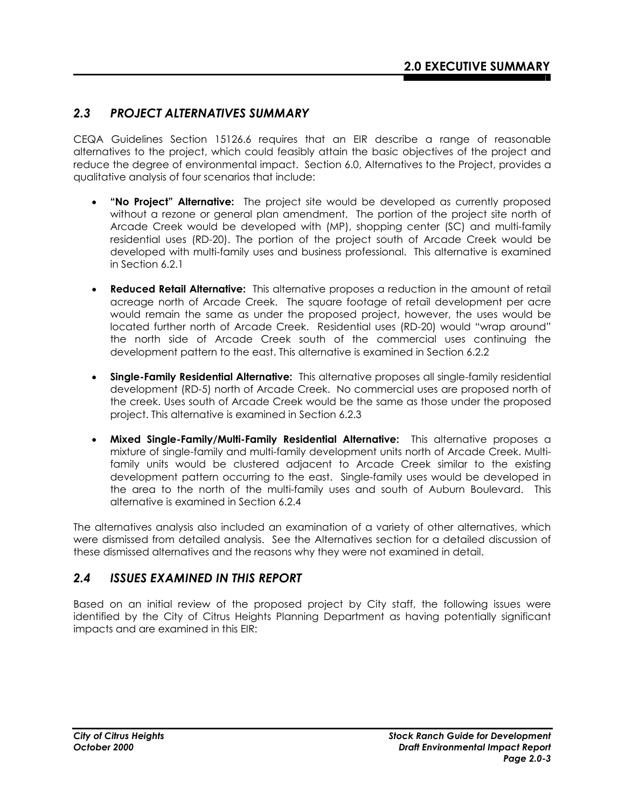#### *2.3 PROJECT ALTERNATIVES SUMMARY*

CEQA Guidelines Section 15126.6 requires that an EIR describe a range of reasonable alternatives to the project, which could feasibly attain the basic objectives of the project and reduce the degree of environmental impact. Section 6.0, Alternatives to the Project, provides a qualitative analysis of four scenarios that include:

- **"No Project" Alternative:** The project site would be developed as currently proposed without a rezone or general plan amendment. The portion of the project site north of Arcade Creek would be developed with (MP), shopping center (SC) and multi-family residential uses (RD-20). The portion of the project south of Arcade Creek would be developed with multi-family uses and business professional. This alternative is examined in Section 6.2.1
- **Reduced Retail Alternative:** This alternative proposes a reduction in the amount of retail acreage north of Arcade Creek. The square footage of retail development per acre would remain the same as under the proposed project, however, the uses would be located further north of Arcade Creek. Residential uses (RD-20) would "wrap around" the north side of Arcade Creek south of the commercial uses continuing the development pattern to the east. This alternative is examined in Section 6.2.2
- **Single-Family Residential Alternative:** This alternative proposes all single-family residential development (RD-5) north of Arcade Creek. No commercial uses are proposed north of the creek. Uses south of Arcade Creek would be the same as those under the proposed project. This alternative is examined in Section 6.2.3
- **Mixed Single-Family/Multi-Family Residential Alternative:** This alternative proposes a mixture of single-family and multi-family development units north of Arcade Creek. Multifamily units would be clustered adjacent to Arcade Creek similar to the existing development pattern occurring to the east. Single-family uses would be developed in the area to the north of the multi-family uses and south of Auburn Boulevard. This alternative is examined in Section 6.2.4

The alternatives analysis also included an examination of a variety of other alternatives, which were dismissed from detailed analysis. See the Alternatives section for a detailed discussion of these dismissed alternatives and the reasons why they were not examined in detail.

#### *2.4 ISSUES EXAMINED IN THIS REPORT*

Based on an initial review of the proposed project by City staff, the following issues were identified by the City of Citrus Heights Planning Department as having potentially significant impacts and are examined in this EIR: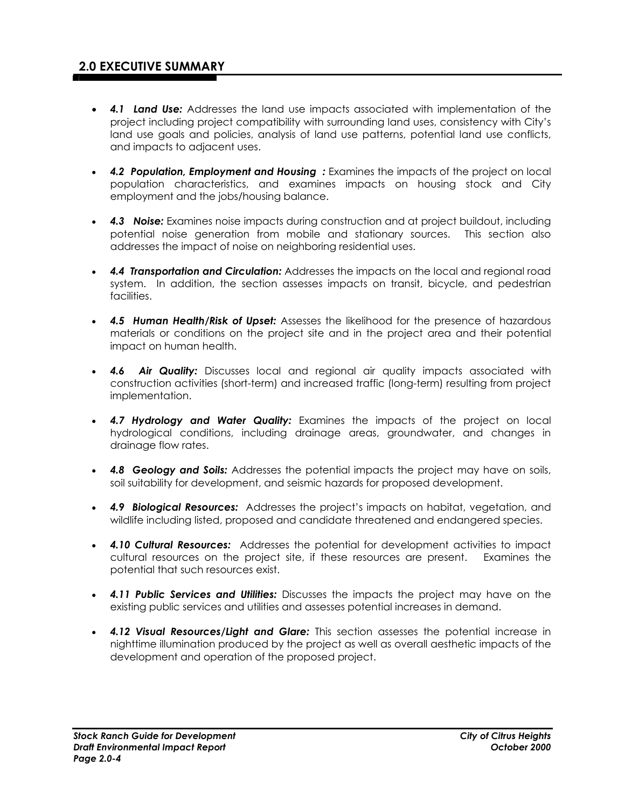- *4.1 Land Use:* Addresses the land use impacts associated with implementation of the project including project compatibility with surrounding land uses, consistency with City's land use goals and policies, analysis of land use patterns, potential land use conflicts, and impacts to adjacent uses.
- *4.2 Population, Employment and Housing :* Examines the impacts of the project on local population characteristics, and examines impacts on housing stock and City employment and the jobs/housing balance.
- *4.3 Noise:* Examines noise impacts during construction and at project buildout, including potential noise generation from mobile and stationary sources. This section also addresses the impact of noise on neighboring residential uses.
- *4.4 Transportation and Circulation:* Addresses the impacts on the local and regional road system. In addition, the section assesses impacts on transit, bicycle, and pedestrian facilities.
- *4.5 Human Health/Risk of Upset:* Assesses the likelihood for the presence of hazardous materials or conditions on the project site and in the project area and their potential impact on human health.
- *4.6 Air Quality:* Discusses local and regional air quality impacts associated with construction activities (short-term) and increased traffic (long-term) resulting from project implementation.
- *4.7 Hydrology and Water Quality:* Examines the impacts of the project on local hydrological conditions, including drainage areas, groundwater, and changes in drainage flow rates.
- *4.8 Geology and Soils:* Addresses the potential impacts the project may have on soils, soil suitability for development, and seismic hazards for proposed development.
- *4.9 Biological Resources:* Addresses the project's impacts on habitat, vegetation, and wildlife including listed, proposed and candidate threatened and endangered species.
- *4.10 Cultural Resources:* Addresses the potential for development activities to impact cultural resources on the project site, if these resources are present. Examines the potential that such resources exist.
- *4.11 Public Services and Utilities:* Discusses the impacts the project may have on the existing public services and utilities and assesses potential increases in demand.
- *4.12 Visual Resources/Light and Glare:* This section assesses the potential increase in nighttime illumination produced by the project as well as overall aesthetic impacts of the development and operation of the proposed project.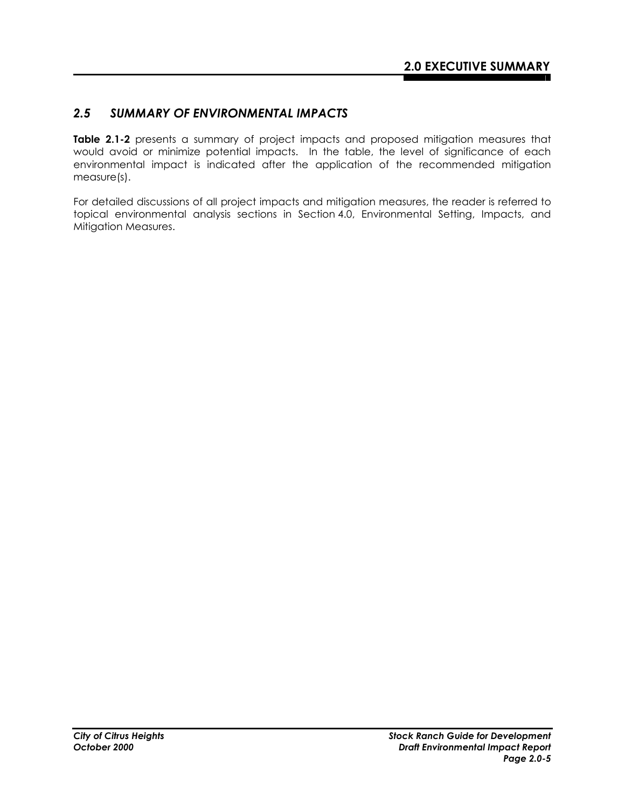#### *2.5 SUMMARY OF ENVIRONMENTAL IMPACTS*

**Table 2.1-2** presents a summary of project impacts and proposed mitigation measures that would avoid or minimize potential impacts. In the table, the level of significance of each environmental impact is indicated after the application of the recommended mitigation measure(s).

For detailed discussions of all project impacts and mitigation measures, the reader is referred to topical environmental analysis sections in Section 4.0, Environmental Setting, Impacts, and Mitigation Measures.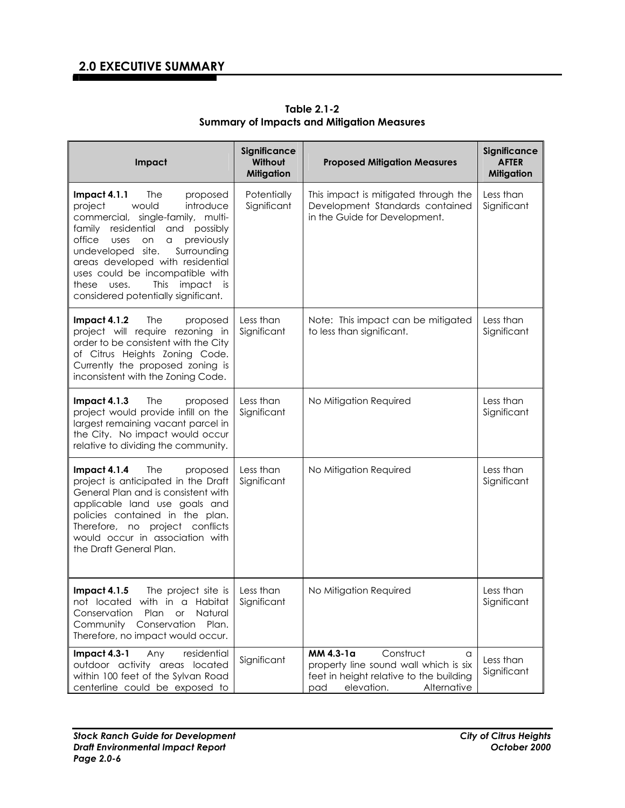| Impact                                                                                                                                                                                                                                                                                                                                                                               | Significance<br>Without<br><b>Mitigation</b> | <b>Proposed Mitigation Measures</b>                                                                                                                 | Significance<br><b>AFTER</b><br><b>Mitigation</b> |
|--------------------------------------------------------------------------------------------------------------------------------------------------------------------------------------------------------------------------------------------------------------------------------------------------------------------------------------------------------------------------------------|----------------------------------------------|-----------------------------------------------------------------------------------------------------------------------------------------------------|---------------------------------------------------|
| Impact $4.1.1$<br>The<br>proposed<br>introduce<br>project<br>would<br>commercial, single-family, multi-<br>residential<br>possibly<br>family<br>and<br>previously<br>office<br>uses<br>on<br>a<br>Surrounding<br>undeveloped site.<br>areas developed with residential<br>uses could be incompatible with<br>This<br>impact is<br>these uses.<br>considered potentially significant. | Potentially<br>Significant                   | This impact is mitigated through the<br>Development Standards contained<br>in the Guide for Development.                                            | Less than<br>Significant                          |
| Impact $4.1.2$<br>The<br>proposed<br>project will require rezoning in<br>order to be consistent with the City<br>of Citrus Heights Zoning Code.<br>Currently the proposed zoning is<br>inconsistent with the Zoning Code.                                                                                                                                                            | Less than<br>Significant                     | Note: This impact can be mitigated<br>to less than significant.                                                                                     | Less than<br>Significant                          |
| Impact 4.1.3<br>The<br>proposed<br>project would provide infill on the<br>largest remaining vacant parcel in<br>the City. No impact would occur<br>relative to dividing the community.                                                                                                                                                                                               | Less than<br>Significant                     | No Mitigation Required                                                                                                                              | Less than<br>Significant                          |
| Impact 4.1.4<br>The<br>proposed<br>project is anticipated in the Draft<br>General Plan and is consistent with<br>applicable land use goals and<br>policies contained in the plan.<br>Therefore, no project conflicts<br>would occur in association with<br>the Draft General Plan.                                                                                                   | Less than<br>Significant                     | No Mitigation Required                                                                                                                              | Less than<br>Significant                          |
| Impact 4.1.5<br>The project site is<br>not located with in a Habitat<br>Natural<br>Conservation<br>Plan<br><b>or</b><br>Community<br>Conservation<br>Plan.<br>Therefore, no impact would occur.                                                                                                                                                                                      | Less than<br>Significant                     | No Mitigation Required                                                                                                                              | Less than<br>Significant                          |
| Impact 4.3-1<br>Any<br>residential<br>outdoor activity areas located<br>within 100 feet of the Sylvan Road<br>centerline could be exposed to                                                                                                                                                                                                                                         | Significant                                  | MM 4.3-1a<br>Construct<br>a<br>property line sound wall which is six<br>feet in height relative to the building<br>elevation.<br>Alternative<br>pad | Less than<br>Significant                          |

**Table 2.1-2 Summary of Impacts and Mitigation Measures**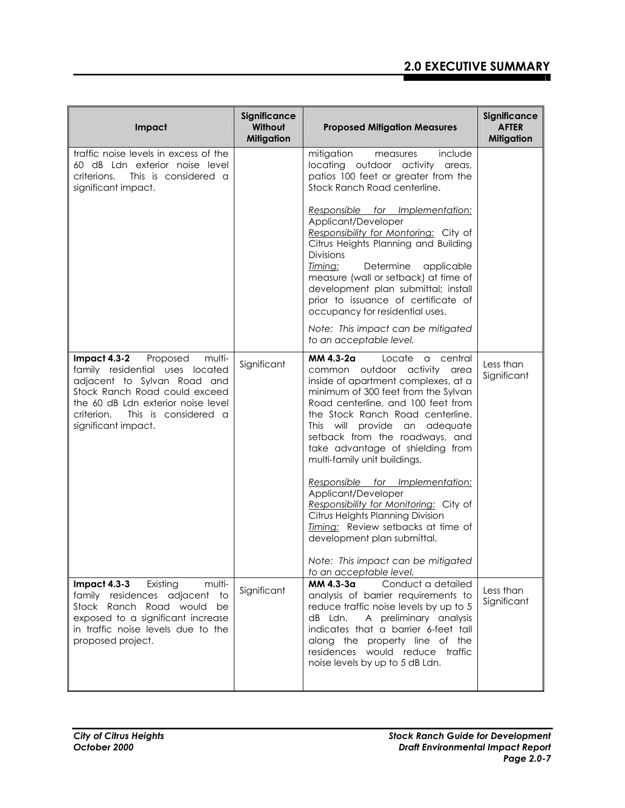| Impact                                                                                                                                                                                                                                     | Significance<br>Without<br><b>Mitigation</b> | <b>Proposed Mitigation Measures</b>                                                                                                                                                                                                                                                                                                                             | Significance<br><b>AFTER</b><br><b>Mitigation</b> |
|--------------------------------------------------------------------------------------------------------------------------------------------------------------------------------------------------------------------------------------------|----------------------------------------------|-----------------------------------------------------------------------------------------------------------------------------------------------------------------------------------------------------------------------------------------------------------------------------------------------------------------------------------------------------------------|---------------------------------------------------|
| traffic noise levels in excess of the<br>60 dB Ldn exterior noise level<br>This is considered a<br>criterions.<br>significant impact.                                                                                                      |                                              | mitigation<br>include<br>measures<br>locating outdoor activity areas,<br>patios 100 feet or greater from the<br>Stock Ranch Road centerline.                                                                                                                                                                                                                    |                                                   |
|                                                                                                                                                                                                                                            |                                              | Responsible for Implementation:<br>Applicant/Developer<br>Responsibility for Montoring: City of<br>Citrus Heights Planning and Building<br><b>Divisions</b><br>Timing:<br>Determine<br>applicable<br>measure (wall or setback) at time of<br>development plan submittal; install<br>prior to issuance of certificate of<br>occupancy for residential uses.      |                                                   |
|                                                                                                                                                                                                                                            |                                              | Note: This impact can be mitigated<br>to an acceptable level.                                                                                                                                                                                                                                                                                                   |                                                   |
| Impact $4.3-2$<br>Proposed<br>multi-<br>family residential uses located<br>adjacent to Sylvan Road and<br>Stock Ranch Road could exceed<br>the 60 dB Ldn exterior noise level<br>This is considered a<br>criterion.<br>significant impact. | Significant                                  | MM 4.3-2a<br>Locate<br>a central<br>common outdoor activity area<br>inside of apartment complexes, at a<br>minimum of 300 feet from the Sylvan<br>Road centerline, and 100 feet from<br>the Stock Ranch Road centerline.<br>This will provide an adequate<br>setback from the roadways, and<br>take advantage of shielding from<br>multi-family unit buildings. | Less than<br>Significant                          |
|                                                                                                                                                                                                                                            |                                              | Responsible for Implementation:<br>Applicant/Developer<br>Responsibility for Monitoring: City of<br>Citrus Heights Planning Division<br>Timing: Review setbacks at time of<br>development plan submittal.<br>Note: This impact can be mitigated<br>to an acceptable level.                                                                                      |                                                   |
| Impact $4.3-3$<br>Existing<br>multi-<br>family residences adjacent to<br>Stock Ranch Road would<br>be<br>exposed to a significant increase<br>in traffic noise levels due to the<br>proposed project.                                      | Significant                                  | Conduct a detailed<br>MM 4.3-3a<br>analysis of barrier requirements to<br>reduce traffic noise levels by up to 5<br>dB Ldn. A preliminary analysis<br>indicates that a barrier 6-feet tall<br>along the property line of the<br>residences would reduce traffic<br>noise levels by up to 5 dB Ldn.                                                              | Less than<br>Significant                          |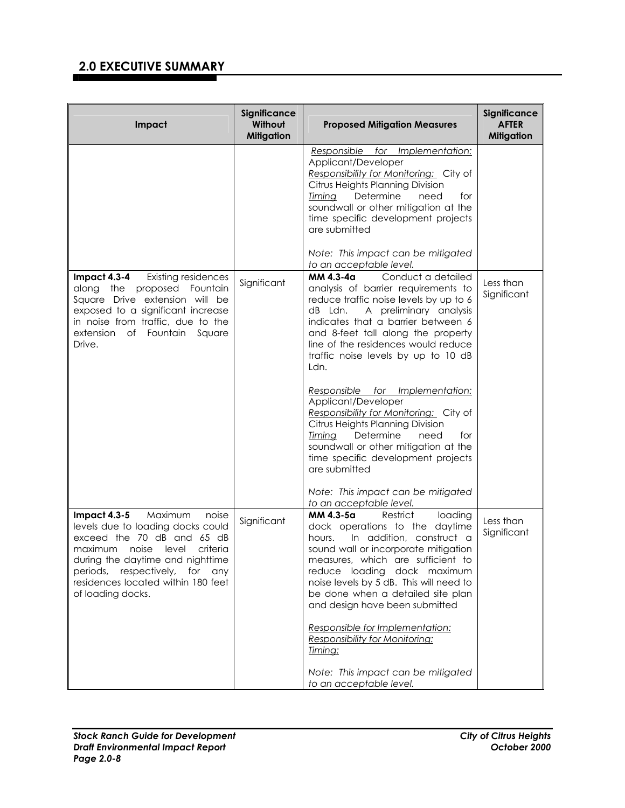| Impact                                                                                                                                                                                                                                                               | Significance<br>Without<br><b>Mitigation</b> | <b>Proposed Mitigation Measures</b>                                                                                                                                                                                                                                                                                                                                                                                                                                                                                                                                                                                                        | Significance<br><b>AFTER</b><br><b>Mitigation</b> |
|----------------------------------------------------------------------------------------------------------------------------------------------------------------------------------------------------------------------------------------------------------------------|----------------------------------------------|--------------------------------------------------------------------------------------------------------------------------------------------------------------------------------------------------------------------------------------------------------------------------------------------------------------------------------------------------------------------------------------------------------------------------------------------------------------------------------------------------------------------------------------------------------------------------------------------------------------------------------------------|---------------------------------------------------|
|                                                                                                                                                                                                                                                                      |                                              | Responsible for Implementation:<br>Applicant/Developer<br>Responsibility for Monitoring: City of<br>Citrus Heights Planning Division<br>Determine<br><u>Timing</u><br>need<br>for<br>soundwall or other mitigation at the<br>time specific development projects<br>are submitted<br>Note: This impact can be mitigated<br>to an acceptable level.                                                                                                                                                                                                                                                                                          |                                                   |
| <b>Impact 4.3-4</b> Existing residences<br>along the proposed Fountain<br>Square Drive extension will be<br>exposed to a significant increase<br>in noise from traffic, due to the<br>extension of Fountain Square<br>Drive.                                         | Significant                                  | Conduct a detailed<br>MM 4.3-4a<br>analysis of barrier requirements to<br>reduce traffic noise levels by up to 6<br>dB Ldn.<br>A preliminary analysis<br>indicates that a barrier between 6<br>and 8-feet tall along the property<br>line of the residences would reduce<br>traffic noise levels by up to 10 dB<br>Ldn.<br>Responsible for Implementation:<br>Applicant/Developer<br>Responsibility for Monitoring: City of<br>Citrus Heights Planning Division<br>Determine<br>Timing<br>need<br>for<br>soundwall or other mitigation at the<br>time specific development projects<br>are submitted<br>Note: This impact can be mitigated | Less than<br>Significant                          |
| Impact 4.3-5 Maximum<br>noise<br>levels due to loading docks could<br>exceed the 70 dB and 65 dB<br>maximum noise level criteria<br>during the daytime and nighttime<br>periods, respectively, for<br>any<br>residences located within 180 feet<br>of loading docks. | Significant                                  | to an acceptable level.<br>MM 4.3-5a<br>Restrict<br>loading<br>dock operations to the daytime<br>In addition, construct a<br>hours.<br>sound wall or incorporate mitigation<br>measures, which are sufficient to<br>reduce loading dock maximum<br>noise levels by 5 dB. This will need to<br>be done when a detailed site plan<br>and design have been submitted<br>Responsible for Implementation:<br>Responsibility for Monitoring:<br>Timing:<br>Note: This impact can be mitigated<br>to an acceptable level.                                                                                                                         | Less than<br>Significant                          |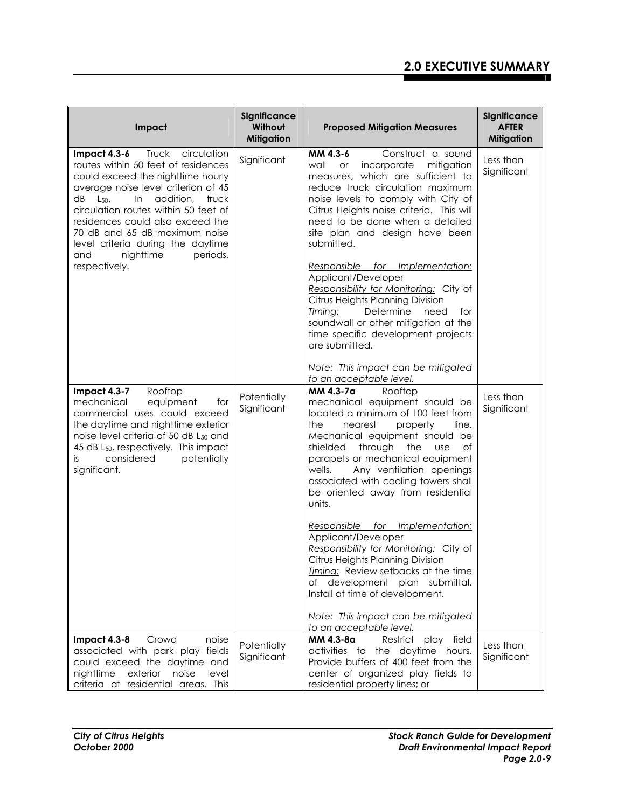| Impact                                                                                                                                                                                                                                                                                                                                                                                                      | Significance<br>Without<br><b>Mitigation</b> | <b>Proposed Mitigation Measures</b>                                                                                                                                                                                                                                                                                                                                                                                                                                                                                                                                                                                                                                                                           | Significance<br><b>AFTER</b><br><b>Mitigation</b> |
|-------------------------------------------------------------------------------------------------------------------------------------------------------------------------------------------------------------------------------------------------------------------------------------------------------------------------------------------------------------------------------------------------------------|----------------------------------------------|---------------------------------------------------------------------------------------------------------------------------------------------------------------------------------------------------------------------------------------------------------------------------------------------------------------------------------------------------------------------------------------------------------------------------------------------------------------------------------------------------------------------------------------------------------------------------------------------------------------------------------------------------------------------------------------------------------------|---------------------------------------------------|
| Impact 4.3-6<br>Truck<br>circulation<br>routes within 50 feet of residences<br>could exceed the nighttime hourly<br>average noise level criterion of 45<br>addition,<br>truck<br>dB<br>$L_{50}$<br>$\ln$<br>circulation routes within 50 feet of<br>residences could also exceed the<br>70 dB and 65 dB maximum noise<br>level criteria during the daytime<br>nighttime<br>periods,<br>and<br>respectively. | Significant                                  | MM 4.3-6<br>Construct a sound<br>wall<br>incorporate mitigation<br><b>or</b><br>measures, which are sufficient to<br>reduce truck circulation maximum<br>noise levels to comply with City of<br>Citrus Heights noise criteria. This will<br>need to be done when a detailed<br>site plan and design have been<br>submitted.<br>Responsible for Implementation:<br>Applicant/Developer<br>Responsibility for Monitoring: City of<br>Citrus Heights Planning Division<br>Timing:<br>Determine<br>need<br>for<br>soundwall or other mitigation at the<br>time specific development projects<br>are submitted.                                                                                                    | Less than<br>Significant                          |
|                                                                                                                                                                                                                                                                                                                                                                                                             |                                              | Note: This impact can be mitigated<br>to an acceptable level.                                                                                                                                                                                                                                                                                                                                                                                                                                                                                                                                                                                                                                                 |                                                   |
| Impact 4.3-7<br>Rooftop<br>mechanical<br>equipment<br>for<br>commercial uses could exceed<br>the daytime and nighttime exterior<br>noise level criteria of 50 dB L <sub>50</sub> and<br>45 dB L <sub>50</sub> , respectively. This impact<br>considered<br>potentially<br>is<br>significant.                                                                                                                | Potentially<br>Significant                   | MM 4.3-7a<br>Rooftop<br>mechanical equipment should be<br>located a minimum of 100 feet from<br>the<br>nearest<br>property<br>line.<br>Mechanical equipment should be<br>through<br>shielded<br>the<br>of<br><b>use</b><br>parapets or mechanical equipment<br>Any ventilation openings<br>wells.<br>associated with cooling towers shall<br>be oriented away from residential<br>units.<br>Responsible for Implementation:<br>Applicant/Developer<br>Responsibility for Monitoring: City of<br>Citrus Heights Planning Division<br>Timing: Review setbacks at the time<br>of development plan submittal.<br>Install at time of development.<br>Note: This impact can be mitigated<br>to an acceptable level. | Less than<br>Significant                          |
| Crowd<br>noise<br>Impact $4.3 - 8$<br>associated with park play fields                                                                                                                                                                                                                                                                                                                                      | Potentially<br>Significant                   | play field<br>MM 4.3-8a<br>Restrict<br>activities to the daytime hours.                                                                                                                                                                                                                                                                                                                                                                                                                                                                                                                                                                                                                                       | Less than<br>Significant                          |
| could exceed the daytime and<br>nighttime<br>exterior<br>noise<br>level<br>criteria at residential areas. This                                                                                                                                                                                                                                                                                              |                                              | Provide buffers of 400 feet from the<br>center of organized play fields to<br>residential property lines; or                                                                                                                                                                                                                                                                                                                                                                                                                                                                                                                                                                                                  |                                                   |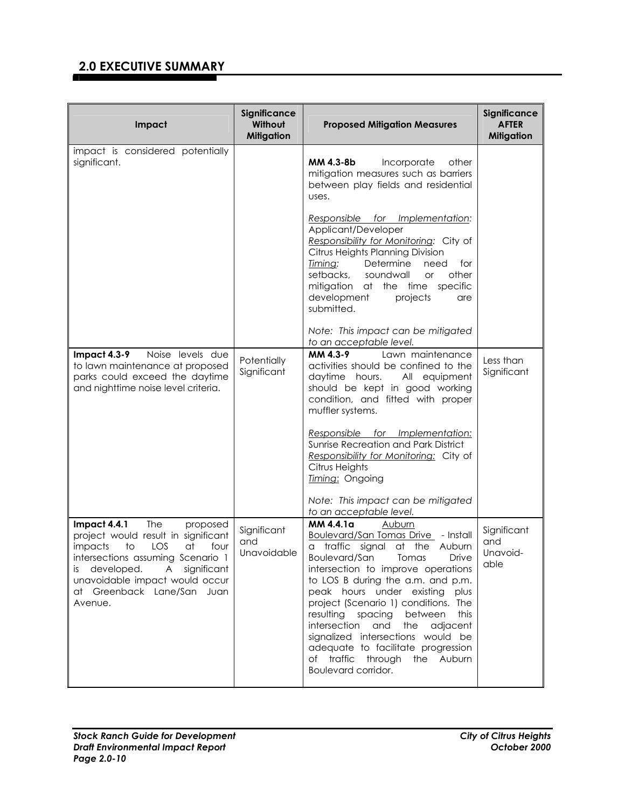| Impact                                                                                                                                                                                                                                                          | Significance<br>Without<br><b>Mitigation</b> | <b>Proposed Mitigation Measures</b>                                                                                                                                                                                                                                                                                                                                                                                                                                                           | Significance<br><b>AFTER</b><br><b>Mitigation</b> |
|-----------------------------------------------------------------------------------------------------------------------------------------------------------------------------------------------------------------------------------------------------------------|----------------------------------------------|-----------------------------------------------------------------------------------------------------------------------------------------------------------------------------------------------------------------------------------------------------------------------------------------------------------------------------------------------------------------------------------------------------------------------------------------------------------------------------------------------|---------------------------------------------------|
| impact is considered potentially<br>significant.                                                                                                                                                                                                                |                                              | MM 4.3-8b<br>Incorporate<br>other<br>mitigation measures such as barriers<br>between play fields and residential<br>uses.                                                                                                                                                                                                                                                                                                                                                                     |                                                   |
|                                                                                                                                                                                                                                                                 |                                              | Responsible for Implementation:<br>Applicant/Developer<br>Responsibility for Monitoring: City of<br>Citrus Heights Planning Division<br>Timing:<br>Determine<br>need<br>for<br>setbacks,<br>soundwall<br>other<br>or<br>mitigation at the time specific<br>development<br>projects<br>are<br>submitted.                                                                                                                                                                                       |                                                   |
|                                                                                                                                                                                                                                                                 |                                              | Note: This impact can be mitigated<br>to an acceptable level.                                                                                                                                                                                                                                                                                                                                                                                                                                 |                                                   |
| Noise levels due<br>Impact 4.3-9<br>to lawn maintenance at proposed<br>parks could exceed the daytime<br>and nighttime noise level criteria.                                                                                                                    | Potentially<br>Significant                   | Lawn maintenance<br>MM 4.3-9<br>activities should be confined to the<br>daytime hours.<br>All equipment<br>should be kept in good working<br>condition, and fitted with proper<br>muffler systems.<br><u>Responsible for Implementation:</u>                                                                                                                                                                                                                                                  | Less than<br>Significant                          |
|                                                                                                                                                                                                                                                                 |                                              | Sunrise Recreation and Park District<br>Responsibility for Monitoring: City of<br>Citrus Heights<br>Timing: Ongoing                                                                                                                                                                                                                                                                                                                                                                           |                                                   |
|                                                                                                                                                                                                                                                                 |                                              | Note: This impact can be mitigated<br>to an acceptable level.                                                                                                                                                                                                                                                                                                                                                                                                                                 |                                                   |
| Impact 4.4.1<br>The<br>proposed<br>project would result in significant<br>to<br>LOS<br>at<br>four<br>impacts<br>intersections assuming Scenario 1<br>developed. A significant<br>İS.<br>unavoidable impact would occur<br>at Greenback Lane/San Juan<br>Avenue. | Significant<br>and<br>Unavoidable            | MM 4.4.1a<br>Auburn<br>Boulevard/San Tomas Drive - Install<br>traffic signal at the Auburn<br>a<br>Boulevard/San Tomas<br>Drive<br>intersection to improve operations<br>to LOS B during the a.m. and p.m.<br>peak hours under existing plus<br>project (Scenario 1) conditions. The<br>resulting spacing between<br>this<br>intersection and the adjacent<br>signalized intersections would be<br>adequate to facilitate progression<br>of traffic through the Auburn<br>Boulevard corridor. | Significant<br>and<br>Unavoid-<br>able            |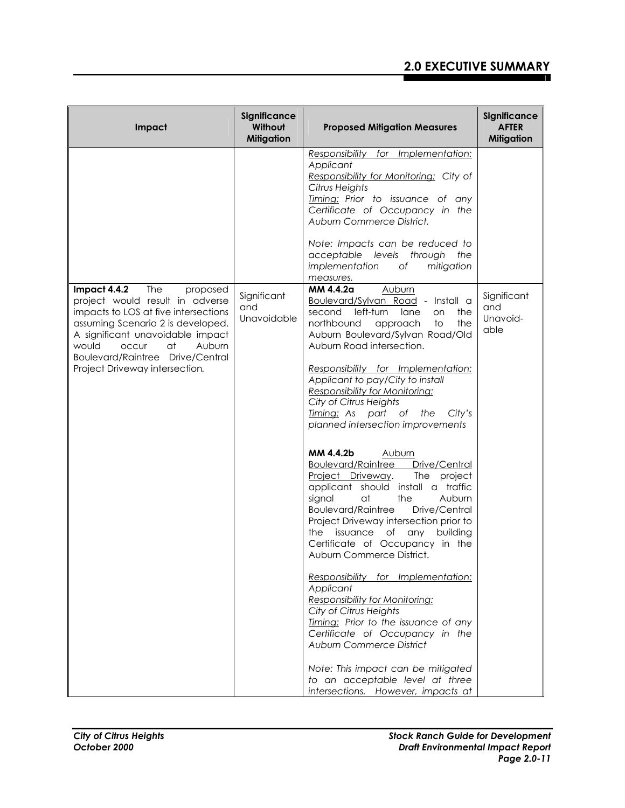| Impact                                                                                                                                                                                                                                                                                             | Significance<br>Without<br><b>Mitigation</b> | <b>Proposed Mitigation Measures</b>                                                                                                                                                                                                                                                                                                                                                                                                                                                                                                                                                                                                                                                                                                                                                                                                                                                                                                                                                                                                                                                                                                                                        | <b>Significance</b><br><b>AFTER</b><br><b>Mitigation</b> |
|----------------------------------------------------------------------------------------------------------------------------------------------------------------------------------------------------------------------------------------------------------------------------------------------------|----------------------------------------------|----------------------------------------------------------------------------------------------------------------------------------------------------------------------------------------------------------------------------------------------------------------------------------------------------------------------------------------------------------------------------------------------------------------------------------------------------------------------------------------------------------------------------------------------------------------------------------------------------------------------------------------------------------------------------------------------------------------------------------------------------------------------------------------------------------------------------------------------------------------------------------------------------------------------------------------------------------------------------------------------------------------------------------------------------------------------------------------------------------------------------------------------------------------------------|----------------------------------------------------------|
|                                                                                                                                                                                                                                                                                                    |                                              | Responsibility for Implementation:<br>Applicant<br>Responsibility for Monitoring: City of<br>Citrus Heights<br>Timing: Prior to issuance of any<br>Certificate of Occupancy in the<br>Auburn Commerce District.<br>Note: Impacts can be reduced to<br>acceptable levels through<br>the<br>implementation<br>Оf<br>mitigation<br>measures.                                                                                                                                                                                                                                                                                                                                                                                                                                                                                                                                                                                                                                                                                                                                                                                                                                  |                                                          |
| Impact 4.4.2<br>The<br>proposed<br>project would result in adverse<br>impacts to LOS at five intersections<br>assuming Scenario 2 is developed.<br>A significant unavoidable impact<br>at<br>Auburn<br>would<br><b>OCCUI</b><br>Boulevard/Raintree Drive/Central<br>Project Driveway intersection. | Significant<br>and<br>Unavoidable            | MM 4.4.2a<br><b>Auburn</b><br>Boulevard/Sylvan Road - Install a<br>left-turn<br>second<br>lane<br>the<br>on<br>northbound<br>to<br>the<br>approach<br>Auburn Boulevard/Sylvan Road/Old<br>Auburn Road intersection.<br>Responsibility for Implementation:<br>Applicant to pay/City to install<br>Responsibility for Monitoring:<br>City of Citrus Heights<br>Timing: As part of the<br>City's<br>planned intersection improvements<br>MM 4.4.2b<br><b>Auburn</b><br><b>Boulevard/Raintree</b><br>Drive/Central<br>Project Driveway.<br>The project<br>applicant should install a traffic<br>signal<br>at<br>the<br>Auburn<br><b>Boulevard/Raintree</b><br>Drive/Central<br>Project Driveway intersection prior to<br>issuance of any<br>building<br>the<br>Certificate of Occupancy in the<br>Auburn Commerce District.<br>Responsibility for Implementation:<br>Applicant<br><b>Responsibility for Monitoring:</b><br>City of Citrus Heights<br>Timing: Prior to the issuance of any<br>Certificate of Occupancy in the<br><b>Auburn Commerce District</b><br>Note: This impact can be mitigated<br>to an acceptable level at three<br>intersections. However, impacts at | Significant<br>and<br>Unavoid-<br>able                   |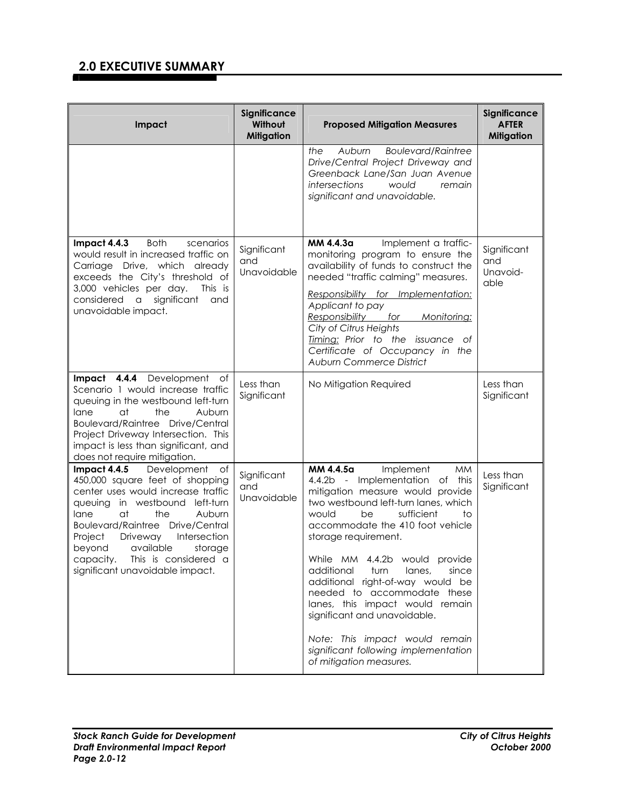| Significance<br>Without<br><b>Mitigation</b> | <b>Proposed Mitigation Measures</b>                                                                                                                                                                                                                                                                                                                                                                                                                                                                                                      | Significance<br><b>AFTER</b><br><b>Mitigation</b> |
|----------------------------------------------|------------------------------------------------------------------------------------------------------------------------------------------------------------------------------------------------------------------------------------------------------------------------------------------------------------------------------------------------------------------------------------------------------------------------------------------------------------------------------------------------------------------------------------------|---------------------------------------------------|
|                                              | <b>Boulevard/Raintree</b><br>Auburn<br>the<br>Drive/Central Project Driveway and<br>Greenback Lane/San Juan Avenue<br>intersections<br>would<br>remain<br>significant and unavoidable.                                                                                                                                                                                                                                                                                                                                                   |                                                   |
| Significant<br>and<br>Unavoidable            | MM 4.4.3a<br>Implement a traffic-<br>monitoring program to ensure the<br>availability of funds to construct the<br>needed "traffic calming" measures.<br>Responsibility for Implementation:<br>Applicant to pay<br>Responsibility for<br>Monitoring:<br>City of Citrus Heights<br>Timing: Prior to the issuance of<br>Certificate of Occupancy in the<br><b>Auburn Commerce District</b>                                                                                                                                                 | Significant<br>and<br>Unavoid-<br>able            |
| Less than<br>Significant                     | No Mitigation Required                                                                                                                                                                                                                                                                                                                                                                                                                                                                                                                   | Less than<br>Significant                          |
| Significant<br>and<br>Unavoidable            | MM 4.4.5a<br>Implement<br><b>MM</b><br>4.4.2b - Implementation of this<br>mitigation measure would provide<br>two westbound left-turn lanes, which<br>sufficient<br>would<br>be<br>to<br>accommodate the 410 foot vehicle<br>storage requirement.<br>While MM 4.4.2b would provide<br>additional turn<br>lanes,<br>since<br>additional right-of-way would be<br>needed to accommodate these<br>lanes, this impact would remain<br>significant and unavoidable.<br>Note: This impact would remain<br>significant following implementation | Less than<br>Significant                          |
|                                              |                                                                                                                                                                                                                                                                                                                                                                                                                                                                                                                                          | of mitigation measures.                           |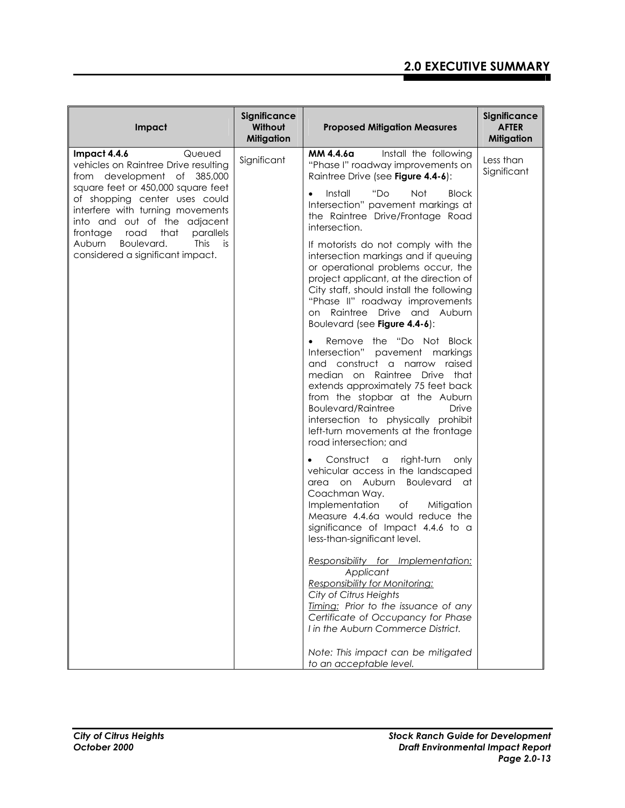| Impact                                                                                                                                                                           | Significance<br>Without<br><b>Mitigation</b> | <b>Proposed Mitigation Measures</b>                                                                                                                                                                                                                                                                                                                                     | Significance<br><b>AFTER</b><br><b>Mitigation</b> |
|----------------------------------------------------------------------------------------------------------------------------------------------------------------------------------|----------------------------------------------|-------------------------------------------------------------------------------------------------------------------------------------------------------------------------------------------------------------------------------------------------------------------------------------------------------------------------------------------------------------------------|---------------------------------------------------|
| Impact 4.4.6<br>Queued<br>vehicles on Raintree Drive resulting<br>from development of 385,000                                                                                    | Significant                                  | MM 4.4.6a<br>Install the following<br>"Phase I" roadway improvements on<br>Raintree Drive (see Figure 4.4-6):                                                                                                                                                                                                                                                           | Less than<br>Significant                          |
| square feet or 450,000 square feet<br>of shopping center uses could<br>interfere with turning movements<br>into and out of the adjacent<br>frontage<br>road<br>that<br>parallels |                                              | Install<br>"Do<br><b>Block</b><br>Not<br>$\bullet$<br>Intersection" pavement markings at<br>the Raintree Drive/Frontage Road<br>intersection.                                                                                                                                                                                                                           |                                                   |
| Boulevard.<br><b>This</b><br>is.<br>Auburn<br>considered a significant impact.                                                                                                   |                                              | If motorists do not comply with the<br>intersection markings and if queuing<br>or operational problems occur, the<br>project applicant, at the direction of<br>City staff, should install the following<br>"Phase II" roadway improvements<br>on Raintree Drive and Auburn<br>Boulevard (see Figure 4.4-6):                                                             |                                                   |
|                                                                                                                                                                                  |                                              | Remove the "Do Not Block<br>$\bullet$<br>Intersection" pavement markings<br>and construct a narrow raised<br>median on Raintree Drive that<br>extends approximately 75 feet back<br>from the stopbar at the Auburn<br><b>Boulevard/Raintree</b><br><b>Drive</b><br>intersection to physically prohibit<br>left-turn movements at the frontage<br>road intersection; and |                                                   |
|                                                                                                                                                                                  |                                              | Construct a<br>right-turn<br>only<br>$\bullet$<br>vehicular access in the landscaped<br>area on Auburn Boulevard at<br>Coachman Way.<br>Implementation<br>оf<br>Mitigation<br>Measure 4.4.6a would reduce the<br>significance of Impact 4.4.6 to a<br>less-than-significant level.                                                                                      |                                                   |
|                                                                                                                                                                                  |                                              | Responsibility for Implementation:<br>Applicant<br><b>Responsibility for Monitoring:</b><br>City of Citrus Heights<br>Timing: Prior to the issuance of any<br>Certificate of Occupancy for Phase<br>I in the Auburn Commerce District.                                                                                                                                  |                                                   |
|                                                                                                                                                                                  |                                              | Note: This impact can be mitigated<br>to an acceptable level.                                                                                                                                                                                                                                                                                                           |                                                   |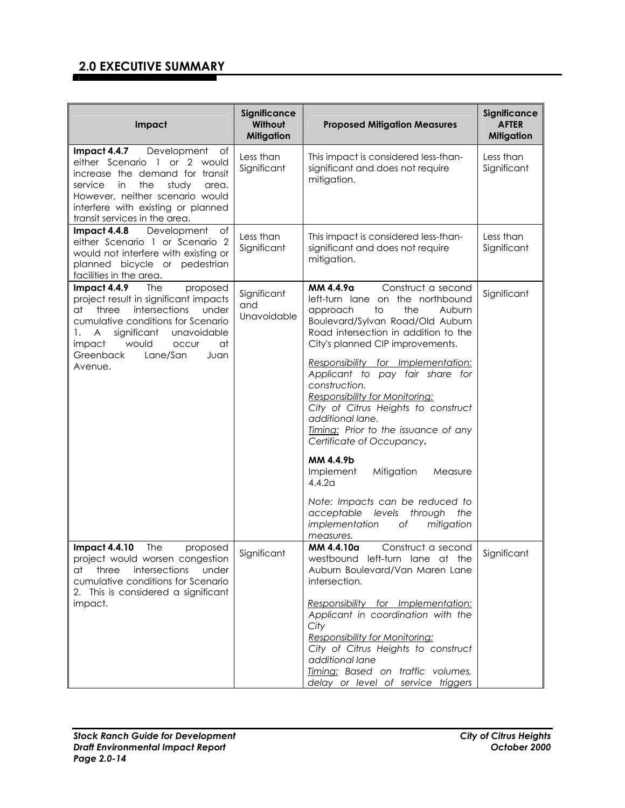| Impact                                                                                                                                                                                                                                                                                                    | Significance<br>Without<br><b>Mitigation</b> | <b>Proposed Mitigation Measures</b>                                                                                                                                                                                                                                                                                                                                                                                                                                                                                                                                                                                                                                                         | Significance<br><b>AFTER</b><br><b>Mitigation</b> |
|-----------------------------------------------------------------------------------------------------------------------------------------------------------------------------------------------------------------------------------------------------------------------------------------------------------|----------------------------------------------|---------------------------------------------------------------------------------------------------------------------------------------------------------------------------------------------------------------------------------------------------------------------------------------------------------------------------------------------------------------------------------------------------------------------------------------------------------------------------------------------------------------------------------------------------------------------------------------------------------------------------------------------------------------------------------------------|---------------------------------------------------|
| Impact 4.4.7<br>Development<br>оf<br>either Scenario 1 or 2 would<br>increase the demand for transit<br>in<br>the<br>study<br>service<br>area.<br>However, neither scenario would<br>interfere with existing or planned<br>transit services in the area.                                                  | Less than<br>Significant                     | This impact is considered less-than-<br>significant and does not require<br>mitigation.                                                                                                                                                                                                                                                                                                                                                                                                                                                                                                                                                                                                     | Less than<br>Significant                          |
| Impact 4.4.8<br>Development<br>of<br>either Scenario 1 or Scenario 2<br>would not interfere with existing or<br>planned bicycle or pedestrian<br>facilities in the area.                                                                                                                                  | Less than<br>Significant                     | This impact is considered less-than-<br>significant and does not require<br>mitigation.                                                                                                                                                                                                                                                                                                                                                                                                                                                                                                                                                                                                     | Less than<br>Significant                          |
| Impact 4.4.9<br><b>The</b><br>proposed<br>project result in significant impacts<br>intersections<br>three<br>under<br>at<br>cumulative conditions for Scenario<br>$\overline{A}$<br>significant<br>unavoidable<br>1.<br>would<br>impact<br><b>OCCUI</b><br>at<br>Greenback<br>Lane/San<br>Juan<br>Avenue. | Significant<br>and<br>Unavoidable            | MM 4.4.9a<br>Construct a second<br>left-turn lane on the northbound<br>the<br>approach<br>to<br>Auburn<br>Boulevard/Sylvan Road/Old Auburn<br>Road intersection in addition to the<br>City's planned CIP improvements.<br>Responsibility for Implementation:<br>Applicant to pay fair share for<br>construction.<br>Responsibility for Monitoring:<br>City of Citrus Heights to construct<br>additional lane.<br>Timing: Prior to the issuance of any<br>Certificate of Occupancy.<br>MM 4.4.9b<br>Implement<br>Mitigation<br>Measure<br>4.4.2 <sub>G</sub><br>Note: Impacts can be reduced to<br>acceptable<br>through<br>levels<br>the<br>implementation<br>Оf<br>mitigation<br>measures. | Significant                                       |
| The<br><b>Impact 4.4.10</b><br>proposed<br>project would worsen congestion<br>at three intersections<br>under<br>cumulative conditions for Scenario<br>2. This is considered a significant<br>impact.                                                                                                     | Significant                                  | Construct a second<br>MM 4.4.10a<br>westbound left-turn lane at the<br>Auburn Boulevard/Van Maren Lane<br>intersection.<br>Responsibility for Implementation:<br>Applicant in coordination with the<br>City<br>Responsibility for Monitoring:<br>City of Citrus Heights to construct<br>additional lane<br>Timing: Based on traffic volumes,<br>delay or level of service triggers                                                                                                                                                                                                                                                                                                          | Significant                                       |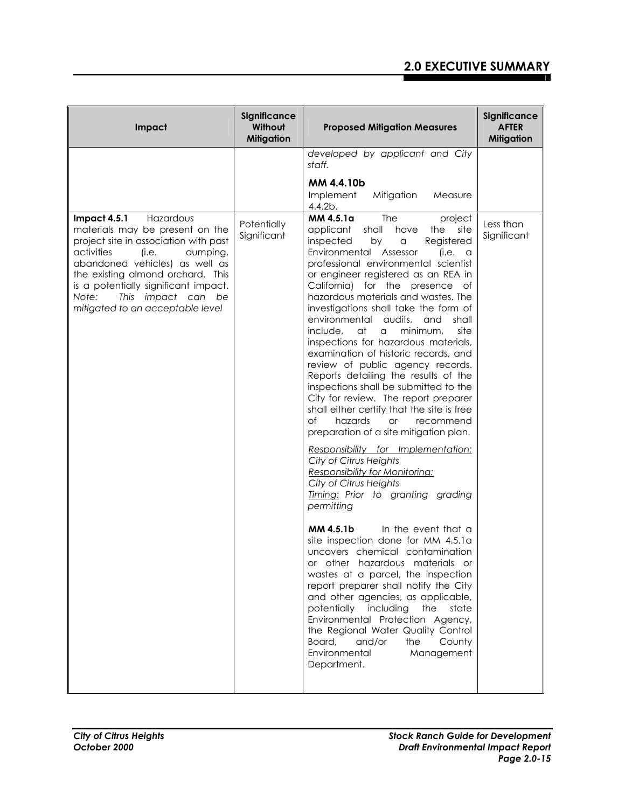| Impact                                                                                                                                                                                                                                                                                                                     | Significance<br>Without<br><b>Mitigation</b> | <b>Proposed Mitigation Measures</b>                                                                                                                                                                                                                                                                                                                                                                                                                                                                                                                                                                                                                                                                                                                                                                                                                                                                                                                                                                                                                                                                                                                                                                                                                                                                                                                                                                                                                                                                    | Significance<br><b>AFTER</b><br><b>Mitigation</b> |
|----------------------------------------------------------------------------------------------------------------------------------------------------------------------------------------------------------------------------------------------------------------------------------------------------------------------------|----------------------------------------------|--------------------------------------------------------------------------------------------------------------------------------------------------------------------------------------------------------------------------------------------------------------------------------------------------------------------------------------------------------------------------------------------------------------------------------------------------------------------------------------------------------------------------------------------------------------------------------------------------------------------------------------------------------------------------------------------------------------------------------------------------------------------------------------------------------------------------------------------------------------------------------------------------------------------------------------------------------------------------------------------------------------------------------------------------------------------------------------------------------------------------------------------------------------------------------------------------------------------------------------------------------------------------------------------------------------------------------------------------------------------------------------------------------------------------------------------------------------------------------------------------------|---------------------------------------------------|
|                                                                                                                                                                                                                                                                                                                            |                                              | developed by applicant and City<br>staff.                                                                                                                                                                                                                                                                                                                                                                                                                                                                                                                                                                                                                                                                                                                                                                                                                                                                                                                                                                                                                                                                                                                                                                                                                                                                                                                                                                                                                                                              |                                                   |
|                                                                                                                                                                                                                                                                                                                            |                                              | MM 4.4.10b<br>Implement<br>Mitigation<br>Measure<br>4.4.2b.                                                                                                                                                                                                                                                                                                                                                                                                                                                                                                                                                                                                                                                                                                                                                                                                                                                                                                                                                                                                                                                                                                                                                                                                                                                                                                                                                                                                                                            |                                                   |
| Impact 4.5.1<br>Hazardous<br>materials may be present on the<br>project site in association with past<br>activities<br>(i.e.<br>dumping,<br>abandoned vehicles) as well as<br>the existing almond orchard. This<br>is a potentially significant impact.<br>This impact can be<br>Note:<br>mitigated to an acceptable level | Potentially<br>Significant                   | <b>The</b><br>MM 4.5.1a<br>project<br>applicant<br>shall<br>have<br>site<br>the<br>inspected<br>Registered<br>by<br>a<br>Environmental Assessor<br>(i.e. a)<br>professional environmental scientist<br>or engineer registered as an REA in<br>California) for the presence of<br>hazardous materials and wastes. The<br>investigations shall take the form of<br>environmental audits, and<br>shall<br>include.<br>at<br>minimum,<br>site<br>$\alpha$<br>inspections for hazardous materials,<br>examination of historic records, and<br>review of public agency records.<br>Reports detailing the results of the<br>inspections shall be submitted to the<br>City for review. The report preparer<br>shall either certify that the site is free<br>$\circ$ f<br>hazards<br><b>or</b><br>recommend<br>preparation of a site mitigation plan.<br>Responsibility for Implementation:<br>City of Citrus Heights<br>Responsibility for Monitoring:<br>City of Citrus Heights<br>Timing: Prior to granting grading<br>permitting<br>MM 4.5.1b<br>In the event that a<br>site inspection done for MM 4.5.1a<br>uncovers chemical contamination<br>or other hazardous materials or<br>wastes at a parcel, the inspection<br>report preparer shall notify the City<br>and other agencies, as applicable,<br>potentially including<br>the<br>state<br>Environmental Protection Agency,<br>the Regional Water Quality Control<br>Board,<br>and/or<br>the<br>County<br>Environmental<br>Management<br>Department. | Less than<br>Significant                          |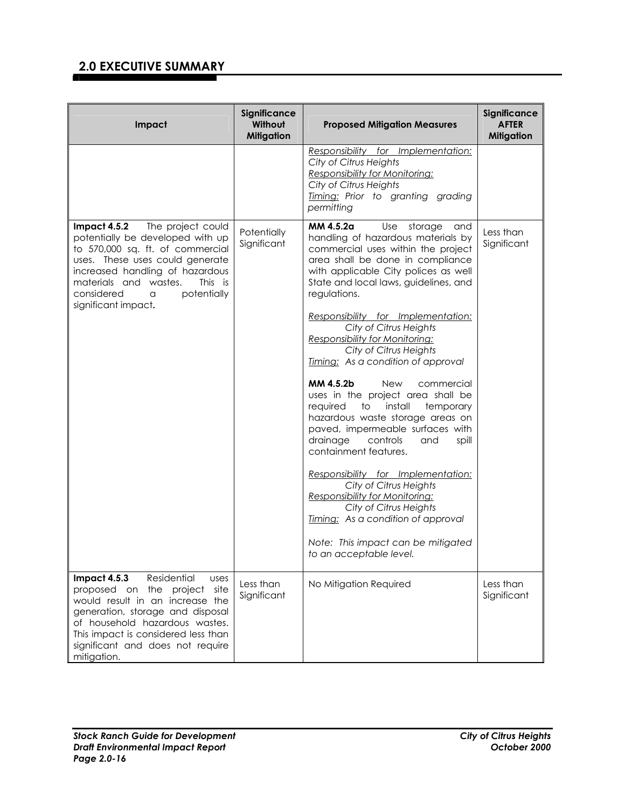| Impact                                                                                                                                                                                                                                                                              | Significance<br>Without<br><b>Mitigation</b> | <b>Proposed Mitigation Measures</b>                                                                                                                                                                                                                                                                                                                                                                                                                                                                                                                                                                                                                                                                                                                                                                                                                                                                                       | Significance<br><b>AFTER</b><br><b>Mitigation</b> |
|-------------------------------------------------------------------------------------------------------------------------------------------------------------------------------------------------------------------------------------------------------------------------------------|----------------------------------------------|---------------------------------------------------------------------------------------------------------------------------------------------------------------------------------------------------------------------------------------------------------------------------------------------------------------------------------------------------------------------------------------------------------------------------------------------------------------------------------------------------------------------------------------------------------------------------------------------------------------------------------------------------------------------------------------------------------------------------------------------------------------------------------------------------------------------------------------------------------------------------------------------------------------------------|---------------------------------------------------|
|                                                                                                                                                                                                                                                                                     |                                              | Responsibility for Implementation:<br>City of Citrus Heights<br>Responsibility for Monitoring:<br>City of Citrus Heights<br>Timing: Prior to granting grading<br>permitting                                                                                                                                                                                                                                                                                                                                                                                                                                                                                                                                                                                                                                                                                                                                               |                                                   |
| Impact 4.5.2<br>The project could<br>potentially be developed with up<br>to 570,000 sq. ft. of commercial<br>uses. These uses could generate<br>increased handling of hazardous<br>materials and wastes.<br>This is<br>potentially<br>considered<br>a<br>significant impact.        | Potentially<br>Significant                   | MM 4.5.2a<br>Use<br>storage<br>and<br>handling of hazardous materials by<br>commercial uses within the project<br>area shall be done in compliance<br>with applicable City polices as well<br>State and local laws, guidelines, and<br>regulations.<br>Responsibility for Implementation:<br>City of Citrus Heights<br><b>Responsibility for Monitoring:</b><br>City of Citrus Heights<br>Timing: As a condition of approval<br>MM 4.5.2b<br>New<br>commercial<br>uses in the project area shall be<br>install<br>temporary<br>required<br>to<br>hazardous waste storage areas on<br>paved, impermeable surfaces with<br>drainage<br>controls<br>and<br>spill<br>containment features.<br>Responsibility for Implementation:<br>City of Citrus Heights<br>Responsibility for Monitoring:<br>City of Citrus Heights<br>Timing: As a condition of approval<br>Note: This impact can be mitigated<br>to an acceptable level. | Less than<br>Significant                          |
| Impact 4.5.3<br>Residential<br><b>USes</b><br>proposed on the<br>project<br>site<br>would result in an increase the<br>generation, storage and disposal<br>of household hazardous wastes.<br>This impact is considered less than<br>significant and does not require<br>mitigation. | Less than<br>Significant                     | No Mitigation Required                                                                                                                                                                                                                                                                                                                                                                                                                                                                                                                                                                                                                                                                                                                                                                                                                                                                                                    | Less than<br>Significant                          |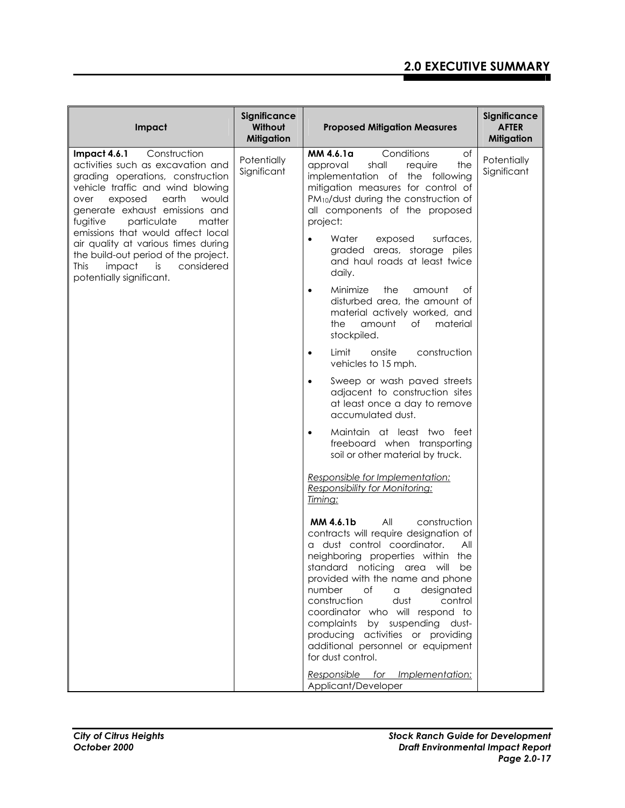| Impact                                                                                                                                                                                                                                                                                                                                                                                                                                      | Significance<br>Without<br><b>Mitigation</b> | <b>Proposed Mitigation Measures</b>                                                                                                                                                                                                                                                                                                                                                                                                                                                                                                                                                                                                                                                                                                                                                                                                                                                                                                                                                                                                                                                                                     | Significance<br><b>AFTER</b><br><b>Mitigation</b> |
|---------------------------------------------------------------------------------------------------------------------------------------------------------------------------------------------------------------------------------------------------------------------------------------------------------------------------------------------------------------------------------------------------------------------------------------------|----------------------------------------------|-------------------------------------------------------------------------------------------------------------------------------------------------------------------------------------------------------------------------------------------------------------------------------------------------------------------------------------------------------------------------------------------------------------------------------------------------------------------------------------------------------------------------------------------------------------------------------------------------------------------------------------------------------------------------------------------------------------------------------------------------------------------------------------------------------------------------------------------------------------------------------------------------------------------------------------------------------------------------------------------------------------------------------------------------------------------------------------------------------------------------|---------------------------------------------------|
| Impact 4.6.1<br>Construction<br>activities such as excavation and<br>grading operations, construction<br>vehicle traffic and wind blowing<br>exposed<br>earth<br>would<br>over<br>generate exhaust emissions and<br>particulate<br>matter<br>fugitive<br>emissions that would affect local<br>air quality at various times during<br>the build-out period of the project.<br>considered<br>This<br>impact<br>is<br>potentially significant. | Potentially<br>Significant                   | MM 4.6.1a<br>Conditions<br>of<br>shall<br>require<br>the<br>approval<br>implementation of the following<br>mitigation measures for control of<br>PM <sub>10</sub> /dust during the construction of<br>all components of the proposed<br>project:<br>$\bullet$<br>Water<br>exposed<br>surfaces,<br>areas, storage piles<br>graded<br>and haul roads at least twice<br>daily.<br>Minimize<br>the<br>amount<br>Οf<br>$\bullet$<br>disturbed area, the amount of<br>material actively worked, and<br>amount<br>$\circ$ f<br>material<br>the<br>stockpiled.<br>construction<br>Limit<br>onsite<br>$\bullet$<br>vehicles to 15 mph.<br>Sweep or wash paved streets<br>$\bullet$<br>adjacent to construction sites<br>at least once a day to remove<br>accumulated dust.<br>Maintain at least two feet<br>$\bullet$<br>freeboard when transporting<br>soil or other material by truck.<br>Responsible for Implementation:<br>Responsibility for Monitoring:<br>Timing:<br>MM 4.6.1b<br>All<br>construction<br>contracts will require designation of<br>a dust control coordinator.<br>All<br>neighboring properties within the | Potentially<br>Significant                        |
|                                                                                                                                                                                                                                                                                                                                                                                                                                             |                                              | standard<br>noticing area<br>will<br>be<br>provided with the name and phone<br>number<br>of<br>designated<br>a<br>construction<br>dust<br>control<br>coordinator who will respond to<br>complaints by suspending dust-<br>producing activities or providing<br>additional personnel or equipment<br>for dust control.                                                                                                                                                                                                                                                                                                                                                                                                                                                                                                                                                                                                                                                                                                                                                                                                   |                                                   |
|                                                                                                                                                                                                                                                                                                                                                                                                                                             |                                              | Responsible for Implementation:<br>Applicant/Developer                                                                                                                                                                                                                                                                                                                                                                                                                                                                                                                                                                                                                                                                                                                                                                                                                                                                                                                                                                                                                                                                  |                                                   |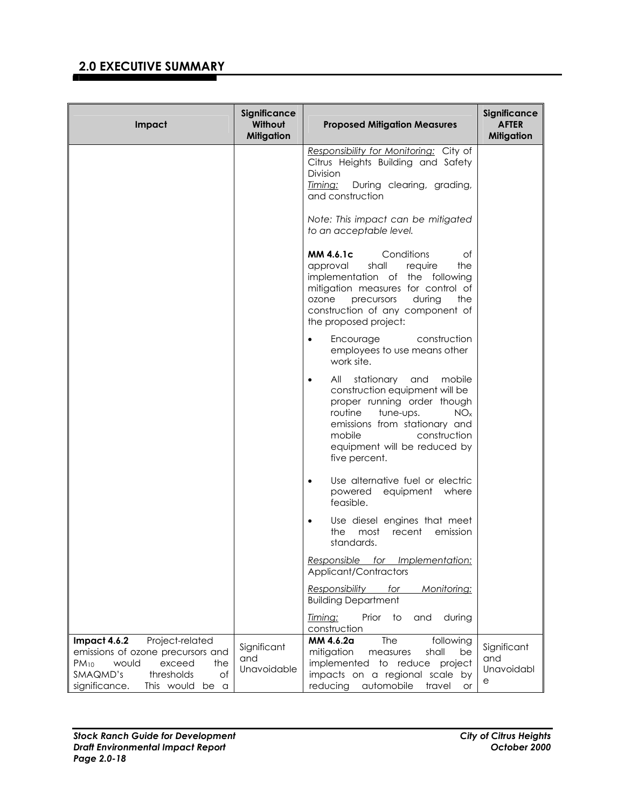| Impact                                                                                                                                                                             | Significance<br>Without<br><b>Mitigation</b> | <b>Proposed Mitigation Measures</b>                                                                                                                                                                                                                                     | Significance<br><b>AFTER</b><br><b>Mitigation</b> |
|------------------------------------------------------------------------------------------------------------------------------------------------------------------------------------|----------------------------------------------|-------------------------------------------------------------------------------------------------------------------------------------------------------------------------------------------------------------------------------------------------------------------------|---------------------------------------------------|
|                                                                                                                                                                                    |                                              | Responsibility for Monitoring: City of<br>Citrus Heights Building and Safety<br><b>Division</b><br>Timing:<br>During clearing, grading,<br>and construction                                                                                                             |                                                   |
|                                                                                                                                                                                    |                                              | Note: This impact can be mitigated<br>to an acceptable level.                                                                                                                                                                                                           |                                                   |
|                                                                                                                                                                                    |                                              | Conditions<br>MM 4.6.1c<br>of<br>shall<br>the<br>approval<br>require<br>implementation of the following<br>mitigation measures for control of<br>during<br>ozone<br>precursors<br>the<br>construction of any component of<br>the proposed project:                      |                                                   |
|                                                                                                                                                                                    |                                              | construction<br>Encourage<br>$\bullet$<br>employees to use means other<br>work site.                                                                                                                                                                                    |                                                   |
|                                                                                                                                                                                    |                                              | stationary<br>All<br>and<br>mobile<br>$\bullet$<br>construction equipment will be<br>proper running order though<br>routine<br>tune-ups.<br>NO <sub>x</sub><br>emissions from stationary and<br>mobile<br>construction<br>equipment will be reduced by<br>five percent. |                                                   |
|                                                                                                                                                                                    |                                              | Use alternative fuel or electric<br>$\bullet$<br>powered equipment where<br>feasible.                                                                                                                                                                                   |                                                   |
|                                                                                                                                                                                    |                                              | Use diesel engines that meet<br>$\bullet$<br>the<br>most<br>emission<br>recent<br>standards.                                                                                                                                                                            |                                                   |
|                                                                                                                                                                                    |                                              | Responsible for Implementation:<br>Applicant/Contractors                                                                                                                                                                                                                |                                                   |
|                                                                                                                                                                                    |                                              | Responsibility<br>Monitoring:<br>for<br><b>Building Department</b>                                                                                                                                                                                                      |                                                   |
|                                                                                                                                                                                    |                                              | <u>Timing:</u><br>Prior<br>to<br>during<br>and<br>construction                                                                                                                                                                                                          |                                                   |
| Impact 4.6.2<br>Project-related<br>emissions of ozone precursors and<br>$PM_{10}$<br>would<br>exceed<br>the<br>SMAQMD's<br>of<br>thresholds<br>significance.<br>This would<br>be a | Significant<br>and<br>Unavoidable            | The<br>MM 4.6.2a<br>following<br>mitigation<br>shall<br>be<br>measures<br>implemented to reduce project<br>impacts on a regional scale by<br>automobile<br>reducing<br>travel<br>or                                                                                     | Significant<br>and<br>Unavoidabl<br>е             |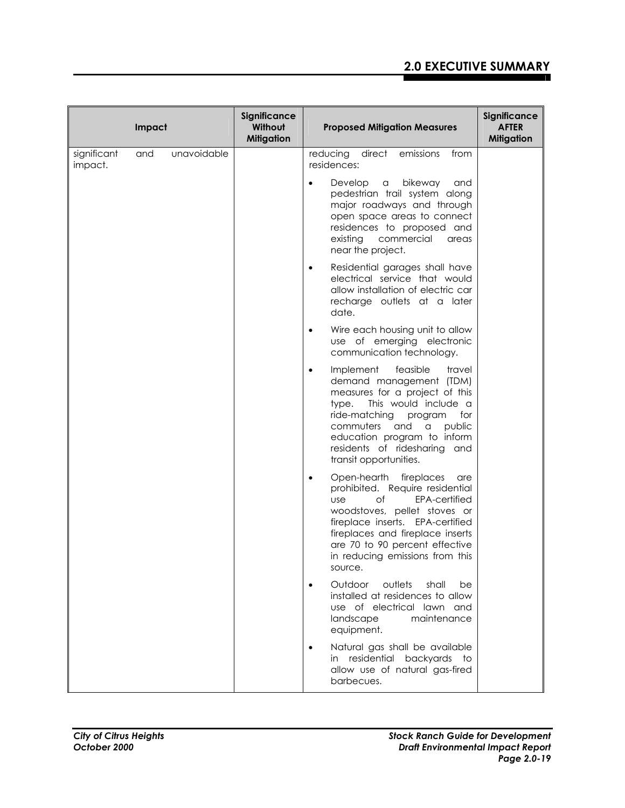|                        | Impact |             | Significance<br>Without<br><b>Mitigation</b> | <b>Proposed Mitigation Measures</b>                                                                                                                                                                                                                                                                        | Significance<br><b>AFTER</b><br><b>Mitigation</b> |
|------------------------|--------|-------------|----------------------------------------------|------------------------------------------------------------------------------------------------------------------------------------------------------------------------------------------------------------------------------------------------------------------------------------------------------------|---------------------------------------------------|
| significant<br>impact. | and    | unavoidable |                                              | emissions<br>reducing<br>direct<br>from<br>residences:                                                                                                                                                                                                                                                     |                                                   |
|                        |        |             |                                              | bikeway<br>Develop<br>$\alpha$<br>and<br>$\bullet$<br>pedestrian trail system along<br>major roadways and through<br>open space areas to connect<br>residences to proposed and<br>existing<br>commercial<br>areas<br>near the project.                                                                     |                                                   |
|                        |        |             |                                              | Residential garages shall have<br>$\bullet$<br>electrical service that would<br>allow installation of electric car<br>recharge outlets at a later<br>date.                                                                                                                                                 |                                                   |
|                        |        |             |                                              | Wire each housing unit to allow<br>use of emerging electronic<br>communication technology.                                                                                                                                                                                                                 |                                                   |
|                        |        |             |                                              | Implement<br>feasible<br>travel<br>demand management (TDM)<br>measures for a project of this<br>This would include a<br>type.<br>ride-matching<br>program<br>for<br>and<br>public<br>commuters<br>a<br>education program to inform<br>residents of ridesharing<br>and<br>transit opportunities.            |                                                   |
|                        |        |             |                                              | Open-hearth fireplaces<br>are<br>$\bullet$<br>prohibited. Require residential<br>of<br>EPA-certified<br><b>use</b><br>woodstoves, pellet stoves or<br>fireplace inserts. EPA-certified<br>fireplaces and fireplace inserts<br>are 70 to 90 percent effective<br>in reducing emissions from this<br>source. |                                                   |
|                        |        |             |                                              | Outdoor<br>outlets<br>shall<br>be<br>$\bullet$<br>installed at residences to allow<br>use of electrical lawn and<br>landscape<br>maintenance<br>equipment.                                                                                                                                                 |                                                   |
|                        |        |             |                                              | Natural gas shall be available<br>in residential backyards to<br>allow use of natural gas-fired<br>barbecues.                                                                                                                                                                                              |                                                   |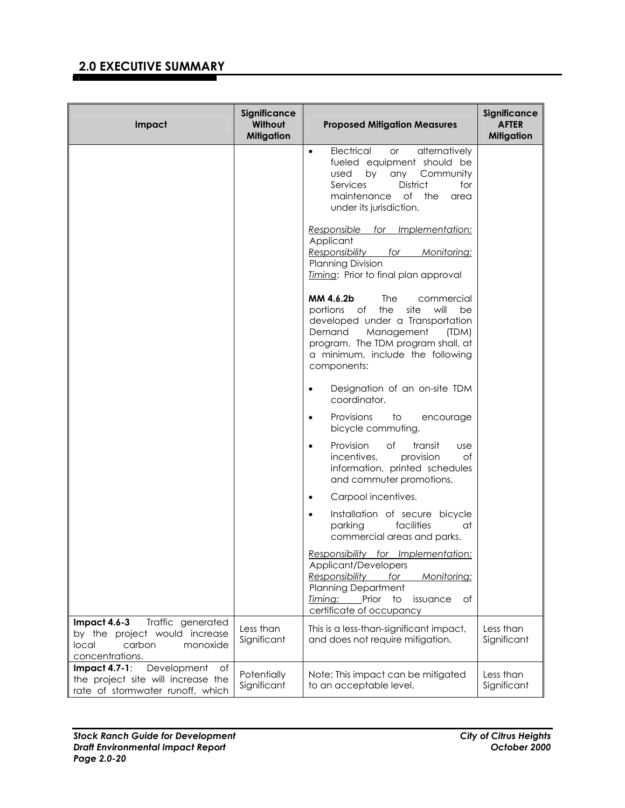| Impact                                                                                                               | Significance<br>Without<br><b>Mitigation</b> | <b>Proposed Mitigation Measures</b>                                                                                                                                                                                                                | Significance<br><b>AFTER</b><br><b>Mitigation</b> |
|----------------------------------------------------------------------------------------------------------------------|----------------------------------------------|----------------------------------------------------------------------------------------------------------------------------------------------------------------------------------------------------------------------------------------------------|---------------------------------------------------|
|                                                                                                                      |                                              | Electrical<br>alternatively<br>or<br>$\bullet$<br>fueled equipment should be<br>any Community<br>used by<br>District<br>Services<br>for<br>of the<br>maintenance<br>area<br>under its jurisdiction.                                                |                                                   |
|                                                                                                                      |                                              | Responsible for Implementation:<br>Applicant<br>Responsibility<br>for<br>Monitoring:<br>Planning Division<br>Timing: Prior to final plan approval                                                                                                  |                                                   |
|                                                                                                                      |                                              | MM 4.6.2b<br><b>The</b><br>commercial<br>portions<br>the<br>site<br>will<br>of<br>be<br>developed under a Transportation<br>Demand<br>Management<br>(TDM)<br>program. The TDM program shall, at<br>a minimum, include the following<br>components: |                                                   |
|                                                                                                                      |                                              | Designation of an on-site TDM<br>$\bullet$<br>coordinator.                                                                                                                                                                                         |                                                   |
|                                                                                                                      |                                              | Provisions<br>to<br>encourage<br>$\bullet$<br>bicycle commuting.                                                                                                                                                                                   |                                                   |
|                                                                                                                      |                                              | Provision<br>of<br>transit<br><b>use</b><br>$\bullet$<br>incentives,<br>provision<br>Оf<br>information, printed schedules<br>and commuter promotions.                                                                                              |                                                   |
|                                                                                                                      |                                              | Carpool incentives.<br>$\bullet$                                                                                                                                                                                                                   |                                                   |
|                                                                                                                      |                                              | Installation of secure bicycle<br>$\bullet$<br>parking<br>facilities<br>at<br>commercial areas and parks.                                                                                                                                          |                                                   |
|                                                                                                                      |                                              | Responsibility for Implementation:<br>Applicant/Developers<br><b>Responsibility</b><br>for<br>Monitoring:<br><b>Planning Department</b><br>Timing:<br>Prior<br>to<br>of<br>issuance<br>certificate of occupancy                                    |                                                   |
| Impact 4.6-3<br>Traffic generated<br>by the project would increase<br>carbon<br>local<br>monoxide<br>concentrations. | Less than<br>Significant                     | This is a less-than-significant impact,<br>and does not require mitigation.                                                                                                                                                                        | Less than<br>Significant                          |
| Development<br>Impact $4.7-1$ :<br>of                                                                                | Potentially                                  | Note: This impact can be mitigated                                                                                                                                                                                                                 | Less than                                         |
| the project site will increase the<br>rate of stormwater runoff, which                                               | Significant                                  | to an acceptable level.                                                                                                                                                                                                                            | Significant                                       |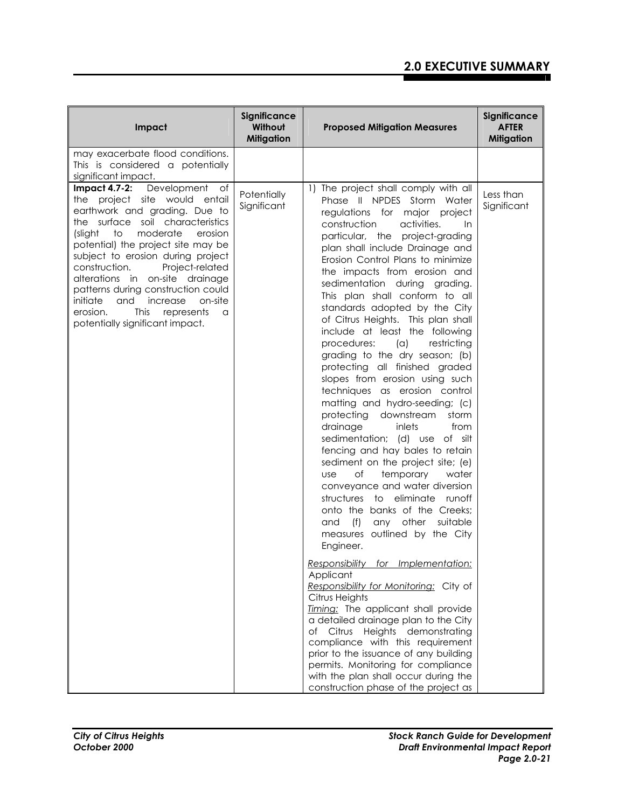| Impact                                                                                                                                                                                                                                                                                                                                                                                                                                                                                                     | Significance<br>Without<br><b>Mitigation</b> | <b>Proposed Mitigation Measures</b>                                                                                                                                                                                                                                                                                                                                                                                                                                                                                                                                                                                                                                                                                                                                                                                                                                                                                                                                                                                                                                                                                                                                                                                                                                                                                                                                                                                                                                                                                                       | Significance<br><b>AFTER</b><br><b>Mitigation</b> |
|------------------------------------------------------------------------------------------------------------------------------------------------------------------------------------------------------------------------------------------------------------------------------------------------------------------------------------------------------------------------------------------------------------------------------------------------------------------------------------------------------------|----------------------------------------------|-------------------------------------------------------------------------------------------------------------------------------------------------------------------------------------------------------------------------------------------------------------------------------------------------------------------------------------------------------------------------------------------------------------------------------------------------------------------------------------------------------------------------------------------------------------------------------------------------------------------------------------------------------------------------------------------------------------------------------------------------------------------------------------------------------------------------------------------------------------------------------------------------------------------------------------------------------------------------------------------------------------------------------------------------------------------------------------------------------------------------------------------------------------------------------------------------------------------------------------------------------------------------------------------------------------------------------------------------------------------------------------------------------------------------------------------------------------------------------------------------------------------------------------------|---------------------------------------------------|
| may exacerbate flood conditions.<br>This is considered a potentially<br>significant impact.                                                                                                                                                                                                                                                                                                                                                                                                                |                                              |                                                                                                                                                                                                                                                                                                                                                                                                                                                                                                                                                                                                                                                                                                                                                                                                                                                                                                                                                                                                                                                                                                                                                                                                                                                                                                                                                                                                                                                                                                                                           |                                                   |
| Development<br><b>Impact 4.7-2:</b><br>of<br>the project site would entail<br>earthwork and grading. Due to<br>the surface soil characteristics<br>(slight<br>to<br>moderate<br>erosion<br>potential) the project site may be<br>subject to erosion during project<br>Project-related<br>construction.<br>alterations in on-site drainage<br>patterns during construction could<br>initiate<br>and<br>increase<br>on-site<br><b>This</b><br>erosion.<br>represents<br>a<br>potentially significant impact. | Potentially<br>Significant                   | 1) The project shall comply with all<br>Phase II NPDES Storm Water<br>regulations for major project<br>construction<br>activities.<br>In<br>particular, the project-grading<br>plan shall include Drainage and<br>Erosion Control Plans to minimize<br>the impacts from erosion and<br>sedimentation during grading.<br>This plan shall conform to all<br>standards adopted by the City<br>of Citrus Heights. This plan shall<br>include at least the following<br>procedures:<br>$(\alpha)$<br>restricting<br>grading to the dry season; (b)<br>protecting all finished graded<br>slopes from erosion using such<br>techniques as erosion control<br>matting and hydro-seeding; (c)<br>protecting downstream<br>storm<br>drainage<br>inlets<br>from<br>sedimentation; (d) use of silt<br>fencing and hay bales to retain<br>sediment on the project site; (e)<br>of<br>temporary<br>water<br><b>use</b><br>conveyance and water diversion<br>structures to eliminate runoff<br>onto the banks of the Creeks;<br>(f)<br>other<br>suitable<br>and<br>any<br>measures outlined by the City<br>Engineer.<br>Responsibility for Implementation:<br>Applicant<br>Responsibility for Monitoring: City of<br>Citrus Heights<br>Timing: The applicant shall provide<br>a detailed drainage plan to the City<br>of Citrus Heights demonstrating<br>compliance with this requirement<br>prior to the issuance of any building<br>permits. Monitoring for compliance<br>with the plan shall occur during the<br>construction phase of the project as | Less than<br>Significant                          |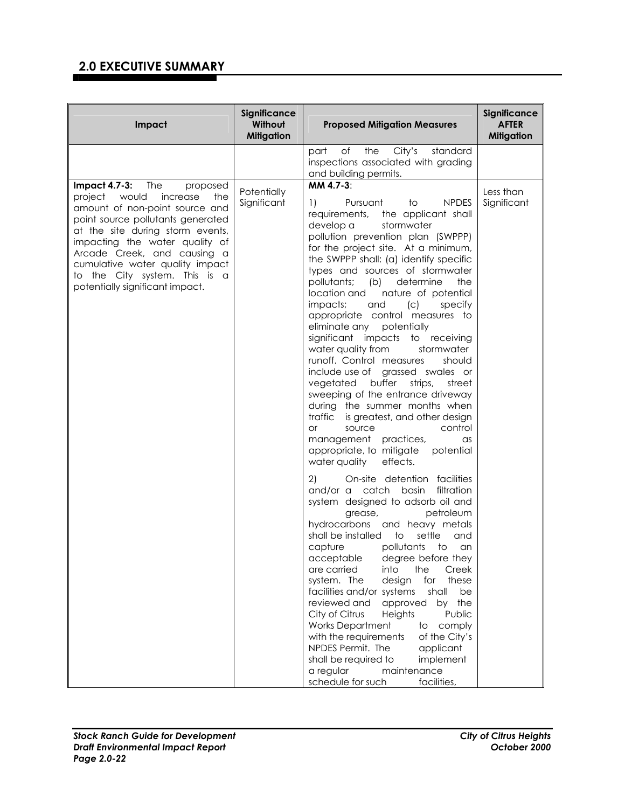| Impact                                                                                                                                                                                                                                                                                                                                               | Significance<br>Without<br><b>Mitigation</b> | <b>Proposed Mitigation Measures</b>                                                                                                                                                                                                                                                                                                                                                                                                                                                                                                                                                                                                                                                                                                                                                                                                                                                                                                                                                                                                                                                                                                                                                                                                                                                                                                                                                                                                                                                                                                                                                                                                                         | Significance<br><b>AFTER</b><br><b>Mitigation</b> |
|------------------------------------------------------------------------------------------------------------------------------------------------------------------------------------------------------------------------------------------------------------------------------------------------------------------------------------------------------|----------------------------------------------|-------------------------------------------------------------------------------------------------------------------------------------------------------------------------------------------------------------------------------------------------------------------------------------------------------------------------------------------------------------------------------------------------------------------------------------------------------------------------------------------------------------------------------------------------------------------------------------------------------------------------------------------------------------------------------------------------------------------------------------------------------------------------------------------------------------------------------------------------------------------------------------------------------------------------------------------------------------------------------------------------------------------------------------------------------------------------------------------------------------------------------------------------------------------------------------------------------------------------------------------------------------------------------------------------------------------------------------------------------------------------------------------------------------------------------------------------------------------------------------------------------------------------------------------------------------------------------------------------------------------------------------------------------------|---------------------------------------------------|
|                                                                                                                                                                                                                                                                                                                                                      |                                              | the<br>City's<br>standard<br>of<br>part<br>inspections associated with grading<br>and building permits.                                                                                                                                                                                                                                                                                                                                                                                                                                                                                                                                                                                                                                                                                                                                                                                                                                                                                                                                                                                                                                                                                                                                                                                                                                                                                                                                                                                                                                                                                                                                                     |                                                   |
| Impact 4.7-3: The<br>proposed<br>project would<br>increase<br>the<br>amount of non-point source and<br>point source pollutants generated<br>at the site during storm events,<br>impacting the water quality of<br>Arcade Creek, and causing a<br>cumulative water quality impact<br>to the City system. This is a<br>potentially significant impact. | Potentially<br>Significant                   | MM 4.7-3:<br><b>NPDES</b><br>1)<br>Pursuant<br>to<br>the applicant shall<br>requirements,<br>develop a<br>stormwater<br>pollution prevention plan (SWPPP)<br>for the project site. At a minimum,<br>the SWPPP shall: (a) identify specific<br>types and sources of stormwater<br>pollutants;<br>(b) determine<br>the<br>location and<br>nature of potential<br>impacts;<br>(c)<br>and<br>specify<br>appropriate control measures to<br>eliminate any potentially<br>significant impacts to receiving<br>water quality from<br>stormwater<br>runoff. Control measures<br>should<br>include use of grassed swales or<br>vegetated<br>buffer<br>strips,<br>street<br>sweeping of the entrance driveway<br>during the summer months when<br>traffic<br>is greatest, and other design<br>control<br>source<br><b>or</b><br>management practices,<br>$\alpha$ s<br>appropriate, to mitigate<br>potential<br>effects.<br>water quality<br>2)<br>On-site detention facilities<br>and/or a catch basin<br>filtration<br>system designed to adsorb oil and<br>petroleum<br>grease,<br>hydrocarbons and heavy metals<br>shall be installed to<br>settle<br>and<br>pollutants<br>capture<br>to<br>an<br>acceptable degree before they<br>are carried<br>into<br>Creek<br>the<br>these<br>system. The<br>design<br>for<br>facilities and/or systems<br>shall<br>be<br>reviewed and<br>approved by the<br>City of Citrus<br>Heights<br>Public<br><b>Works Department</b><br>comply<br>to<br>with the requirements<br>of the City's<br>NPDES Permit. The<br>applicant<br>shall be required to<br>implement<br>a regular<br>maintenance<br>schedule for such<br>facilities, | Less than<br>Significant                          |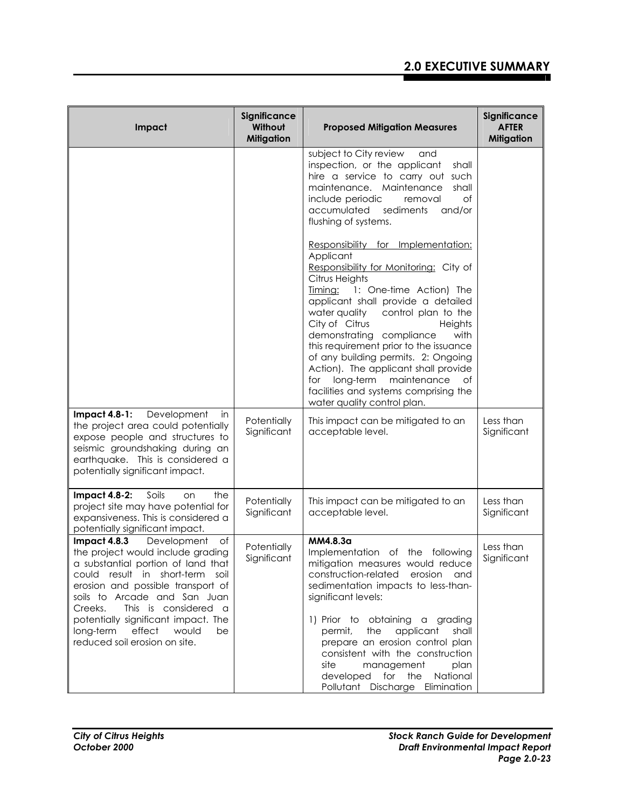| Impact                                                                                                                                                                                                                                                                                                                                                             | Significance<br>Without<br><b>Mitigation</b> | <b>Proposed Mitigation Measures</b>                                                                                                                                                                                                                                                                                                                                                                                                                                                                                               | Significance<br><b>AFTER</b><br><b>Mitigation</b> |
|--------------------------------------------------------------------------------------------------------------------------------------------------------------------------------------------------------------------------------------------------------------------------------------------------------------------------------------------------------------------|----------------------------------------------|-----------------------------------------------------------------------------------------------------------------------------------------------------------------------------------------------------------------------------------------------------------------------------------------------------------------------------------------------------------------------------------------------------------------------------------------------------------------------------------------------------------------------------------|---------------------------------------------------|
|                                                                                                                                                                                                                                                                                                                                                                    |                                              | subject to City review<br>and<br>inspection, or the applicant<br>shall<br>hire a service to carry out such<br>maintenance. Maintenance<br>shall<br>include periodic<br>of<br>removal<br>accumulated<br>sediments<br>and/or<br>flushing of systems.                                                                                                                                                                                                                                                                                |                                                   |
|                                                                                                                                                                                                                                                                                                                                                                    |                                              | Responsibility for Implementation:<br>Applicant<br>Responsibility for Monitoring: City of<br>Citrus Heights<br>Timing: 1: One-time Action) The<br>applicant shall provide a detailed<br>water quality control plan to the<br>City of Citrus<br>Heights<br>demonstrating compliance<br>with<br>this requirement prior to the issuance<br>of any building permits. 2: Ongoing<br>Action). The applicant shall provide<br>long-term maintenance<br>for<br>Οf<br>facilities and systems comprising the<br>water quality control plan. |                                                   |
| $Import 4.8-1:$<br>Development<br>in<br>the project area could potentially<br>expose people and structures to<br>seismic groundshaking during an<br>earthquake. This is considered a<br>potentially significant impact.                                                                                                                                            | Potentially<br>Significant                   | This impact can be mitigated to an<br>acceptable level.                                                                                                                                                                                                                                                                                                                                                                                                                                                                           | Less than<br>Significant                          |
| <b>Impact 4.8-2:</b><br>Soils<br>the<br>on<br>project site may have potential for<br>expansiveness. This is considered a<br>potentially significant impact.                                                                                                                                                                                                        | Potentially<br>Significant                   | This impact can be mitigated to an<br>acceptable level.                                                                                                                                                                                                                                                                                                                                                                                                                                                                           | Less than<br>Significant                          |
| Impact 4.8.3<br>Development<br>оf<br>the project would include grading<br>a substantial portion of land that<br>could result in short-term soil<br>erosion and possible transport of<br>soils to Arcade and San Juan<br>Creeks.<br>This is considered a<br>potentially significant impact. The<br>effect would<br>long-term<br>be<br>reduced soil erosion on site. | Potentially<br>Significant                   | MM4.8.3a<br>Implementation of the following<br>mitigation measures would reduce<br>construction-related erosion<br>and<br>sedimentation impacts to less-than-<br>significant levels:<br>1) Prior to obtaining a grading<br>the applicant<br>shall<br>permit,<br>prepare an erosion control plan<br>consistent with the construction<br>site<br>management<br>plan<br>developed for the<br>National<br>Pollutant Discharge Elimination                                                                                             | Less than<br>Significant                          |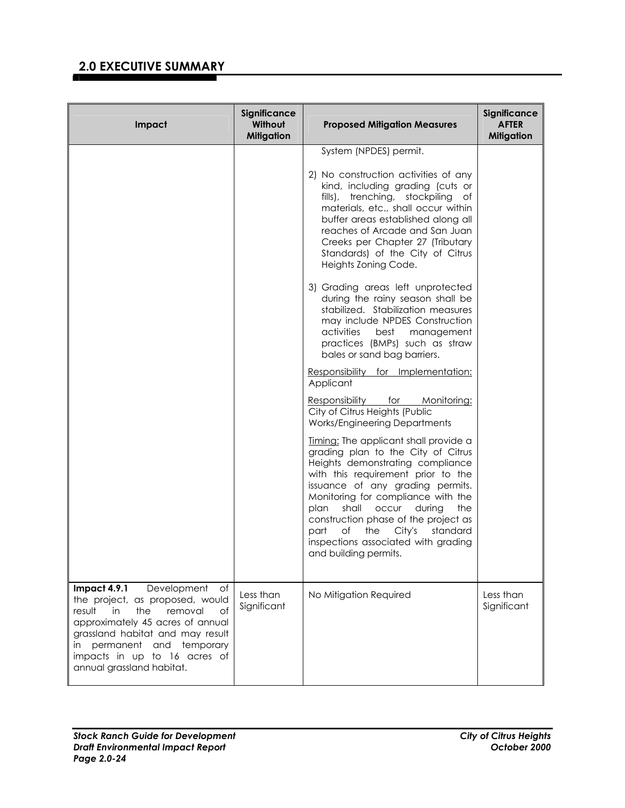| Impact                                                                                                                                                                                                                                                                                    | Significance<br>Without<br><b>Mitigation</b> | <b>Proposed Mitigation Measures</b>                                                                                                                                                                                                                                                                                                                                                                                                                                                                                                      | Significance<br><b>AFTER</b><br><b>Mitigation</b> |
|-------------------------------------------------------------------------------------------------------------------------------------------------------------------------------------------------------------------------------------------------------------------------------------------|----------------------------------------------|------------------------------------------------------------------------------------------------------------------------------------------------------------------------------------------------------------------------------------------------------------------------------------------------------------------------------------------------------------------------------------------------------------------------------------------------------------------------------------------------------------------------------------------|---------------------------------------------------|
|                                                                                                                                                                                                                                                                                           |                                              | System (NPDES) permit.<br>2) No construction activities of any<br>kind, including grading (cuts or<br>fills), trenching, stockpiling of<br>materials, etc., shall occur within<br>buffer areas established along all<br>reaches of Arcade and San Juan<br>Creeks per Chapter 27 (Tributary<br>Standards) of the City of Citrus<br>Heights Zoning Code.<br>3) Grading areas left unprotected<br>during the rainy season shall be<br>stabilized. Stabilization measures<br>may include NPDES Construction<br>activities<br>best management |                                                   |
|                                                                                                                                                                                                                                                                                           |                                              | practices (BMPs) such as straw<br>bales or sand bag barriers.<br>Responsibility for Implementation:<br>Applicant<br>Responsibility for Monitoring:<br>City of Citrus Heights (Public<br><b>Works/Engineering Departments</b>                                                                                                                                                                                                                                                                                                             |                                                   |
|                                                                                                                                                                                                                                                                                           |                                              | Timing: The applicant shall provide a<br>grading plan to the City of Citrus<br>Heights demonstrating compliance<br>with this requirement prior to the<br>issuance of any grading permits.<br>Monitoring for compliance with the<br>shall occur during<br>plan<br>the<br>construction phase of the project as<br>part<br>of<br>the<br>City's<br>standard<br>inspections associated with grading<br>and building permits.                                                                                                                  |                                                   |
| Impact 4.9.1<br>Development<br>of<br>the project, as proposed, would<br>the<br>removal<br>$\circ$ f<br>result<br>in<br>approximately 45 acres of annual<br>grassland habitat and may result<br>permanent and temporary<br>in<br>impacts in up to 16 acres of<br>annual grassland habitat. | Less than<br>Significant                     | No Mitigation Required                                                                                                                                                                                                                                                                                                                                                                                                                                                                                                                   | Less than<br>Significant                          |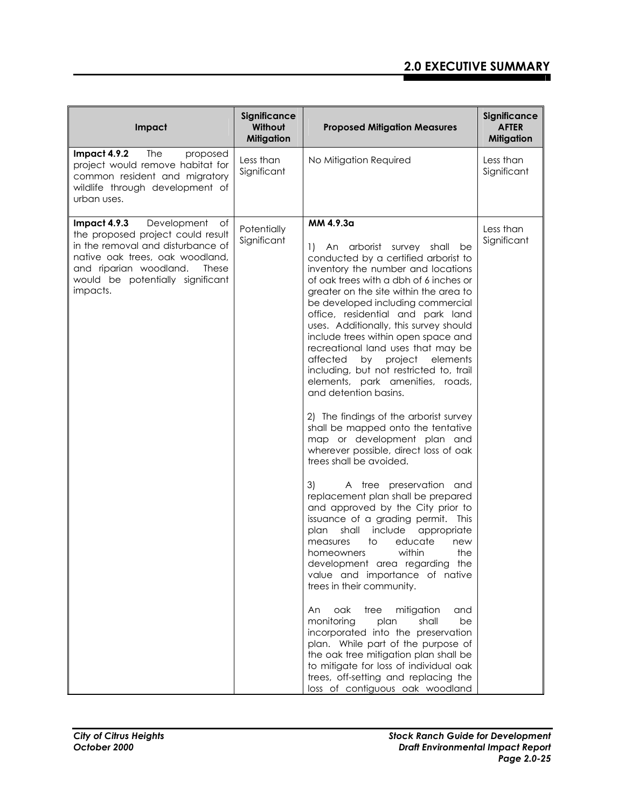| Impact                                                                                                                                                                                                                            | Significance<br>Without<br><b>Mitigation</b> | <b>Proposed Mitigation Measures</b>                                                                                                                                                                                                                                                                                                                                                                                                                                                                                                                                                                                                                                                                                                                                                                                                                                                                                                                                                                                                                                                                                                                                                                                                                                                                                                                                                                                                                    | Significance<br><b>AFTER</b><br><b>Mitigation</b> |
|-----------------------------------------------------------------------------------------------------------------------------------------------------------------------------------------------------------------------------------|----------------------------------------------|--------------------------------------------------------------------------------------------------------------------------------------------------------------------------------------------------------------------------------------------------------------------------------------------------------------------------------------------------------------------------------------------------------------------------------------------------------------------------------------------------------------------------------------------------------------------------------------------------------------------------------------------------------------------------------------------------------------------------------------------------------------------------------------------------------------------------------------------------------------------------------------------------------------------------------------------------------------------------------------------------------------------------------------------------------------------------------------------------------------------------------------------------------------------------------------------------------------------------------------------------------------------------------------------------------------------------------------------------------------------------------------------------------------------------------------------------------|---------------------------------------------------|
| Impact 4.9.2<br>The<br>proposed<br>project would remove habitat for<br>common resident and migratory<br>wildlife through development of<br>urban uses.                                                                            | Less than<br>Significant                     | No Mitigation Required                                                                                                                                                                                                                                                                                                                                                                                                                                                                                                                                                                                                                                                                                                                                                                                                                                                                                                                                                                                                                                                                                                                                                                                                                                                                                                                                                                                                                                 | Less than<br>Significant                          |
| Development<br>Impact 4.9.3<br>of<br>the proposed project could result<br>in the removal and disturbance of<br>native oak trees, oak woodland,<br>and riparian woodland.<br>These<br>would be potentially significant<br>impacts. | Potentially<br>Significant                   | MM 4.9.3a<br>An arborist survey shall<br>1)<br>be<br>conducted by a certified arborist to<br>inventory the number and locations<br>of oak trees with a dbh of 6 inches or<br>greater on the site within the area to<br>be developed including commercial<br>office, residential and park land<br>uses. Additionally, this survey should<br>include trees within open space and<br>recreational land uses that may be<br>by<br>project<br>elements<br>affected<br>including, but not restricted to, trail<br>elements, park amenities, roads,<br>and detention basins.<br>2) The findings of the arborist survey<br>shall be mapped onto the tentative<br>map or development plan and<br>wherever possible, direct loss of oak<br>trees shall be avoided.<br>3)<br>A tree preservation and<br>replacement plan shall be prepared<br>and approved by the City prior to<br>issuance of a grading permit.<br>This<br>shall<br>include<br>appropriate<br>plan<br>educate<br>to<br>measures<br>new<br>within<br>the<br>homeowners<br>development area regarding the<br>value and importance of native<br>trees in their community.<br>mitigation<br>oak<br>tree<br>An.<br>and<br>monitoring<br>shall<br>plan<br>be<br>incorporated into the preservation<br>plan. While part of the purpose of<br>the oak tree mitigation plan shall be<br>to mitigate for loss of individual oak<br>trees, off-setting and replacing the<br>loss of contiguous oak woodland | Less than<br>Significant                          |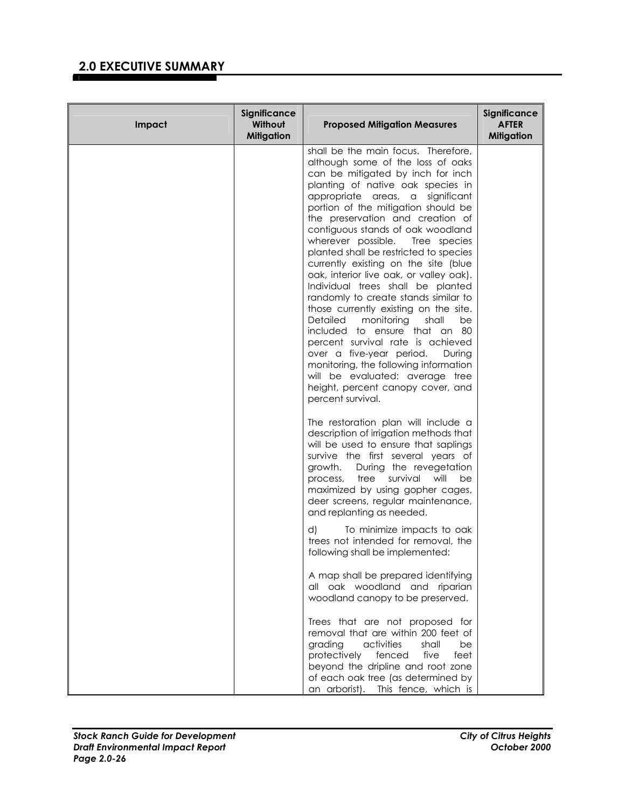| Impact | Significance<br>Without<br><b>Mitigation</b> | <b>Proposed Mitigation Measures</b>                                                                                                                                                                                                                                                                                                                                                                                                                                                                                                                                                                                                                                                                                                                                                                                                                                                     | Significance<br><b>AFTER</b><br><b>Mitigation</b> |
|--------|----------------------------------------------|-----------------------------------------------------------------------------------------------------------------------------------------------------------------------------------------------------------------------------------------------------------------------------------------------------------------------------------------------------------------------------------------------------------------------------------------------------------------------------------------------------------------------------------------------------------------------------------------------------------------------------------------------------------------------------------------------------------------------------------------------------------------------------------------------------------------------------------------------------------------------------------------|---------------------------------------------------|
|        |                                              | shall be the main focus. Therefore,<br>although some of the loss of oaks<br>can be mitigated by inch for inch<br>planting of native oak species in<br>appropriate areas, a significant<br>portion of the mitigation should be<br>the preservation and creation of<br>contiguous stands of oak woodland<br>wherever possible. Tree species<br>planted shall be restricted to species<br>currently existing on the site (blue<br>oak, interior live oak, or valley oak).<br>Individual trees shall be planted<br>randomly to create stands similar to<br>those currently existing on the site.<br>monitoring<br>shall<br>Detailed<br>be<br>included to ensure that an 80<br>percent survival rate is achieved<br>over a five-year period.<br>During<br>monitoring, the following information<br>will be evaluated: average tree<br>height, percent canopy cover, and<br>percent survival. |                                                   |
|        |                                              | The restoration plan will include a<br>description of irrigation methods that<br>will be used to ensure that saplings<br>survive the first several years of<br>growth. During the revegetation<br>tree<br>survival<br>will<br>be<br>process,<br>maximized by using gopher cages,<br>deer screens, regular maintenance,<br>and replanting as needed.<br>d)<br>To minimize impacts to oak                                                                                                                                                                                                                                                                                                                                                                                                                                                                                                 |                                                   |
|        |                                              | trees not intended for removal, the<br>following shall be implemented:<br>A map shall be prepared identifying<br>all oak woodland and riparian<br>woodland canopy to be preserved.<br>Trees that are not proposed for<br>removal that are within 200 feet of<br>grading<br>activities<br>shall<br>be<br>five<br>protectively<br>fenced<br>feet<br>beyond the dripline and root zone<br>of each oak tree (as determined by<br>an arborist). This fence, which is                                                                                                                                                                                                                                                                                                                                                                                                                         |                                                   |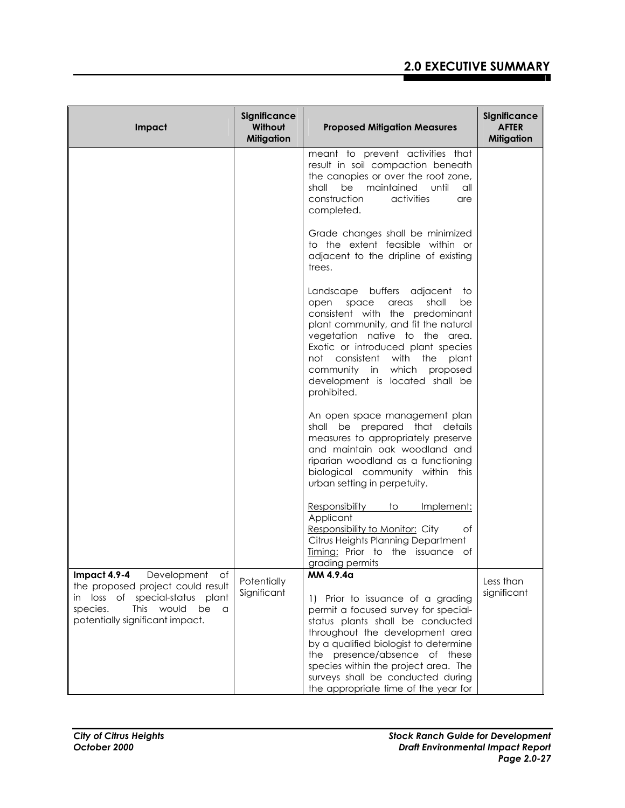| Impact                                                                                                                                                                                                | Significance<br>Without<br><b>Mitigation</b> | <b>Proposed Mitigation Measures</b>                                                                                                                                                                                                                                                                                                                          | Significance<br><b>AFTER</b><br><b>Mitigation</b> |
|-------------------------------------------------------------------------------------------------------------------------------------------------------------------------------------------------------|----------------------------------------------|--------------------------------------------------------------------------------------------------------------------------------------------------------------------------------------------------------------------------------------------------------------------------------------------------------------------------------------------------------------|---------------------------------------------------|
|                                                                                                                                                                                                       |                                              | meant to prevent activities that<br>result in soil compaction beneath<br>the canopies or over the root zone,<br>be maintained until<br>shall<br>all<br>construction<br>activities<br>are<br>completed.                                                                                                                                                       |                                                   |
|                                                                                                                                                                                                       |                                              | Grade changes shall be minimized<br>to the extent feasible within or<br>adjacent to the dripline of existing<br>trees.                                                                                                                                                                                                                                       |                                                   |
|                                                                                                                                                                                                       |                                              | Landscape buffers adjacent to<br>shall<br>space<br>areas<br>be<br>open<br>consistent with the predominant<br>plant community, and fit the natural<br>vegetation native to the area.<br>Exotic or introduced plant species<br>not consistent with the<br>plant<br>community in which proposed<br>development is located shall be<br>prohibited.               |                                                   |
|                                                                                                                                                                                                       |                                              | An open space management plan<br>shall be prepared that details<br>measures to appropriately preserve<br>and maintain oak woodland and<br>riparian woodland as a functioning<br>biological community within this<br>urban setting in perpetuity.                                                                                                             |                                                   |
|                                                                                                                                                                                                       |                                              | Responsibility<br>10<br>Implement:<br>Applicant<br>Responsibility to Monitor: City<br>Оf<br>Citrus Heights Planning Department<br>Timing: Prior to the issuance of<br>grading permits                                                                                                                                                                        |                                                   |
| Impact 4.9-4<br>Development<br>of<br>the proposed project could result<br>in loss of<br>special-status plant<br>species.<br><b>This</b><br>would<br>be<br>$\alpha$<br>potentially significant impact. | Potentially<br>Significant                   | MM 4.9.4a<br>1) Prior to issuance of a grading<br>permit a focused survey for special-<br>status plants shall be conducted<br>throughout the development area<br>by a qualified biologist to determine<br>the presence/absence of these<br>species within the project area. The<br>surveys shall be conducted during<br>the appropriate time of the year for | Less than<br>significant                          |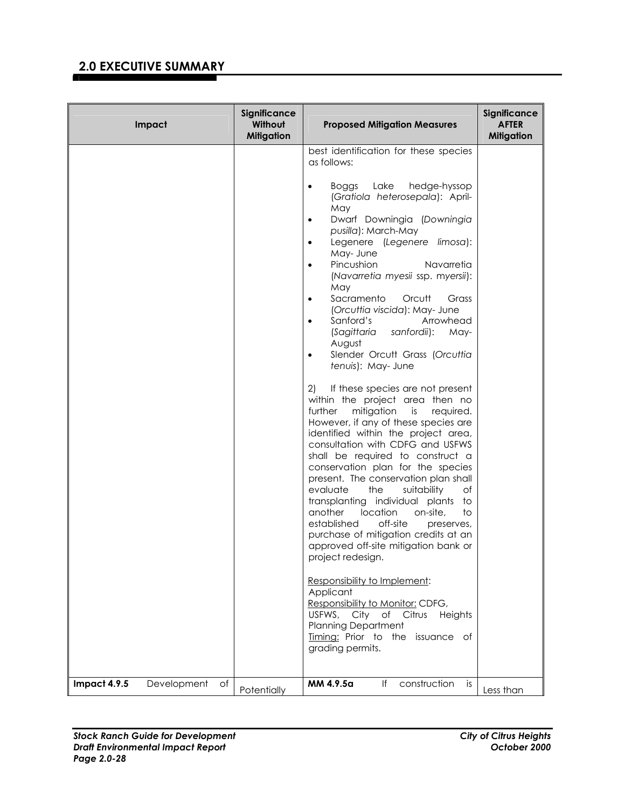| Impact                            | Significance<br>Without<br><b>Mitigation</b> | <b>Proposed Mitigation Measures</b>                                                                                                                                                                                                                                                                                                                                                                                                                                                                                                                                                                                    | Significance<br><b>AFTER</b><br><b>Mitigation</b> |
|-----------------------------------|----------------------------------------------|------------------------------------------------------------------------------------------------------------------------------------------------------------------------------------------------------------------------------------------------------------------------------------------------------------------------------------------------------------------------------------------------------------------------------------------------------------------------------------------------------------------------------------------------------------------------------------------------------------------------|---------------------------------------------------|
|                                   |                                              | best identification for these species<br>as follows:                                                                                                                                                                                                                                                                                                                                                                                                                                                                                                                                                                   |                                                   |
|                                   |                                              | Lake<br>hedge-hyssop<br>Boggs<br>$\bullet$<br>(Gratiola heterosepala): April-<br>May<br>Dwarf Downingia (Downingia<br>$\bullet$<br>pusilla): March-May<br>Legenere (Legenere limosa):<br>May- June<br>Pincushion<br>Navarretia<br>$\bullet$<br>(Navarretia myesii ssp. myersii):<br>May<br>Sacramento<br>Orcutt<br>Grass<br>$\bullet$<br>(Orcuttia viscida): May- June<br>Sanford's<br>Arrowhead<br>$\bullet$<br><i>(Sagittaria</i><br>sanfordii):<br>May-<br>August<br>Slender Orcutt Grass (Orcuttia<br>$\bullet$<br>tenuis): May- June<br>2)<br>If these species are not present<br>within the project area then no |                                                   |
|                                   |                                              | mitigation<br>further<br>required.<br>is<br>However, if any of these species are<br>identified within the project area,<br>consultation with CDFG and USFWS<br>shall be required to construct a<br>conservation plan for the species<br>present. The conservation plan shall<br>evaluate<br>the<br>suitability<br>Οf<br>transplanting individual plants<br>to<br>location<br>another<br>on-site,<br>to<br>off-site<br>established<br>preserves,<br>purchase of mitigation credits at an<br>approved off-site mitigation bank or<br>project redesign.                                                                   |                                                   |
|                                   |                                              | Responsibility to Implement:<br>Applicant<br>Responsibility to Monitor: CDFG,<br>USFWS, City of Citrus Heights<br><b>Planning Department</b><br>Timing: Prior to the issuance of<br>grading permits.                                                                                                                                                                                                                                                                                                                                                                                                                   |                                                   |
| Impact 4.9.5<br>Development<br>Оf | Potentially                                  | construction<br>MM 4.9.5a<br>١f<br>is.                                                                                                                                                                                                                                                                                                                                                                                                                                                                                                                                                                                 | Less than                                         |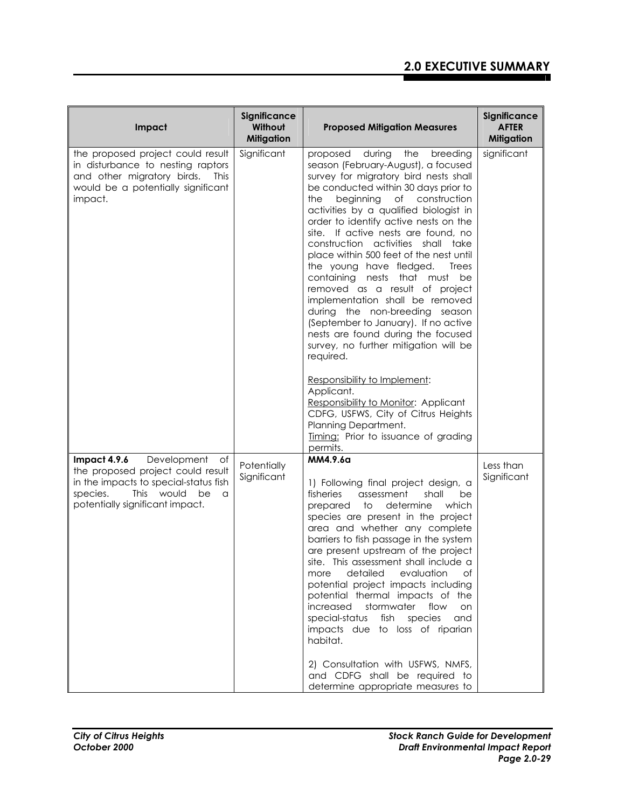| Impact                                                                                                                                                                                  | Significance<br>Without<br><b>Mitigation</b> | <b>Proposed Mitigation Measures</b>                                                                                                                                                                                                                                                                                                                                                                                                                                                                                                                                                                                                                                                                                                                                                                                                                                                                                       | Significance<br><b>AFTER</b><br><b>Mitigation</b> |
|-----------------------------------------------------------------------------------------------------------------------------------------------------------------------------------------|----------------------------------------------|---------------------------------------------------------------------------------------------------------------------------------------------------------------------------------------------------------------------------------------------------------------------------------------------------------------------------------------------------------------------------------------------------------------------------------------------------------------------------------------------------------------------------------------------------------------------------------------------------------------------------------------------------------------------------------------------------------------------------------------------------------------------------------------------------------------------------------------------------------------------------------------------------------------------------|---------------------------------------------------|
| the proposed project could result<br>in disturbance to nesting raptors<br>and other migratory birds.<br><b>This</b><br>would be a potentially significant<br>impact.                    | Significant                                  | during<br>proposed<br>the<br>breeding<br>season (February-August), a focused<br>survey for migratory bird nests shall<br>be conducted within 30 days prior to<br>beginning of construction<br>the<br>activities by a qualified biologist in<br>order to identify active nests on the<br>site. If active nests are found, no<br>construction activities shall take<br>place within 500 feet of the nest until<br>the young have fledged.<br>Trees<br>containing nests that must be<br>removed as a result of project<br>implementation shall be removed<br>during the non-breeding season<br>(September to January). If no active<br>nests are found during the focused<br>survey, no further mitigation will be<br>required.<br>Responsibility to Implement:<br>Applicant.<br>Responsibility to Monitor: Applicant<br>CDFG, USFWS, City of Citrus Heights<br>Planning Department.<br>Timing: Prior to issuance of grading | significant                                       |
| Impact 4.9.6<br>Development<br>of<br>the proposed project could result<br>in the impacts to special-status fish<br>species.<br>This would<br>be<br>a<br>potentially significant impact. | Potentially<br>Significant                   | permits.<br>MM4.9.6a<br>1) Following final project design, a<br>fisheries<br>assessment<br>shall<br>be<br>prepared<br>to<br>determine<br>which<br>species are present in the project<br>area and whether any complete<br>barriers to fish passage in the system<br>are present upstream of the project<br>site. This assessment shall include a<br>detailed<br>evaluation<br>more<br>of<br>potential project impacts including<br>potential thermal impacts of the<br>increased stormwater flow<br>on<br>special-status<br>fish species<br>and<br>impacts due to loss of riparian<br>habitat.<br>2) Consultation with USFWS, NMFS,<br>and CDFG shall be required to<br>determine appropriate measures to                                                                                                                                                                                                                  | Less than<br>Significant                          |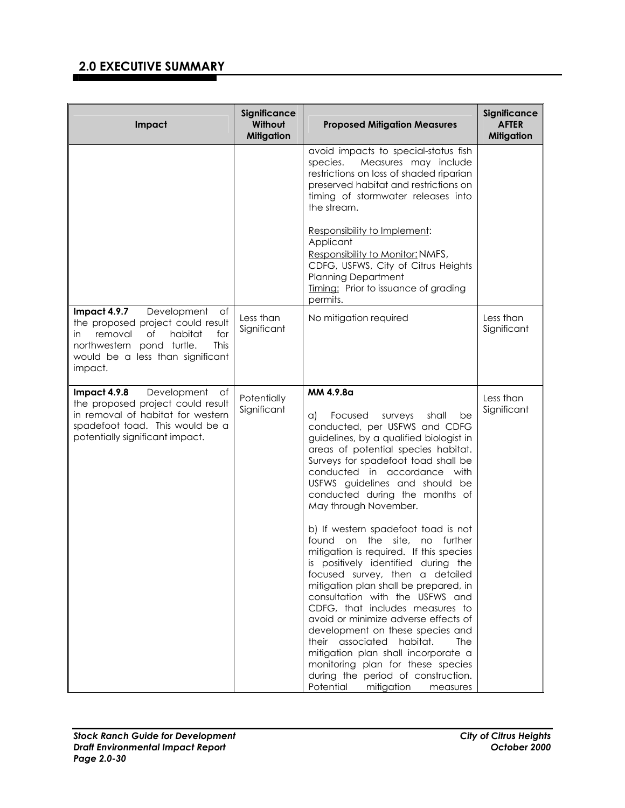| Impact                                                                                                                                                                                              | Significance<br>Without<br><b>Mitigation</b> | <b>Proposed Mitigation Measures</b>                                                                                                                                                                                                                                                                                                                                                                                                                                                                                                                                                                                                                                                                                                                                                                                                                                                                                                       | Significance<br><b>AFTER</b><br><b>Mitigation</b> |
|-----------------------------------------------------------------------------------------------------------------------------------------------------------------------------------------------------|----------------------------------------------|-------------------------------------------------------------------------------------------------------------------------------------------------------------------------------------------------------------------------------------------------------------------------------------------------------------------------------------------------------------------------------------------------------------------------------------------------------------------------------------------------------------------------------------------------------------------------------------------------------------------------------------------------------------------------------------------------------------------------------------------------------------------------------------------------------------------------------------------------------------------------------------------------------------------------------------------|---------------------------------------------------|
|                                                                                                                                                                                                     |                                              | avoid impacts to special-status fish<br>Measures may include<br>species.<br>restrictions on loss of shaded riparian<br>preserved habitat and restrictions on<br>timing of stormwater releases into<br>the stream.<br>Responsibility to Implement:<br>Applicant<br>Responsibility to Monitor: NMFS,<br>CDFG, USFWS, City of Citrus Heights<br><b>Planning Department</b><br>Timing: Prior to issuance of grading                                                                                                                                                                                                                                                                                                                                                                                                                                                                                                                           |                                                   |
| Impact 4.9.7<br>Development<br>Оf<br>the proposed project could result<br>habitat<br>removal<br>of<br>for<br>in<br>This<br>northwestern pond turtle.<br>would be a less than significant<br>impact. | Less than<br>Significant                     | permits.<br>No mitigation required                                                                                                                                                                                                                                                                                                                                                                                                                                                                                                                                                                                                                                                                                                                                                                                                                                                                                                        | Less than<br>Significant                          |
| Development<br>Impact 4.9.8<br>$\circ$ f<br>the proposed project could result<br>in removal of habitat for western<br>spadefoot toad. This would be a<br>potentially significant impact.            | Potentially<br>Significant                   | MM 4.9.8a<br>Focused<br>surveys<br>shall<br>be<br>a)<br>conducted, per USFWS and CDFG<br>guidelines, by a qualified biologist in<br>areas of potential species habitat.<br>Surveys for spadefoot toad shall be<br>conducted in accordance with<br>USFWS guidelines and should be<br>conducted during the months of<br>May through November.<br>b) If western spadefoot toad is not<br>site,<br>found on<br>the<br>no<br>further<br>mitigation is required. If this species<br>is positively identified during the<br>focused survey, then a detailed<br>mitigation plan shall be prepared, in<br>consultation with the USFWS and<br>CDFG, that includes measures to<br>avoid or minimize adverse effects of<br>development on these species and<br>their associated habitat.<br>The<br>mitigation plan shall incorporate a<br>monitoring plan for these species<br>during the period of construction.<br>Potential mitigation<br>measures | Less than<br>Significant                          |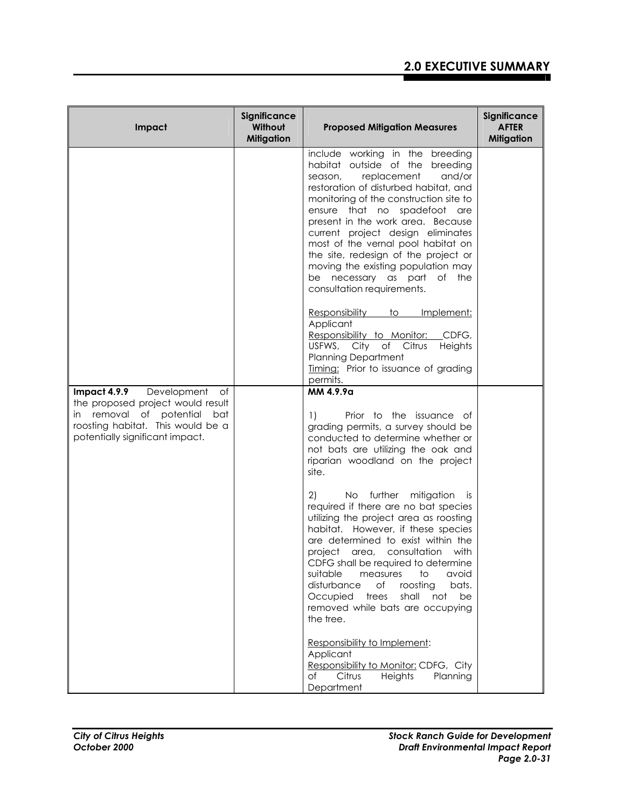| Impact                                                                                                                                                                               | Significance<br>Without<br><b>Mitigation</b> | <b>Proposed Mitigation Measures</b>                                                                                                                                                                                                                                                                                                                                                                                                                                                  | Significance<br><b>AFTER</b><br><b>Mitigation</b> |
|--------------------------------------------------------------------------------------------------------------------------------------------------------------------------------------|----------------------------------------------|--------------------------------------------------------------------------------------------------------------------------------------------------------------------------------------------------------------------------------------------------------------------------------------------------------------------------------------------------------------------------------------------------------------------------------------------------------------------------------------|---------------------------------------------------|
|                                                                                                                                                                                      |                                              | include working in the breeding<br>habitat outside of the breeding<br>replacement<br>and/or<br>season,<br>restoration of disturbed habitat, and<br>monitoring of the construction site to<br>ensure that no spadefoot are<br>present in the work area. Because<br>current project design eliminates<br>most of the vernal pool habitat on<br>the site, redesign of the project or<br>moving the existing population may<br>be necessary as part of the<br>consultation requirements. |                                                   |
|                                                                                                                                                                                      |                                              | Responsibility to<br>Implement:<br>Applicant<br>Responsibility to Monitor: CDFG,<br>USFWS, City of Citrus<br>Heights<br><b>Planning Department</b><br>Timing: Prior to issuance of grading<br>permits.                                                                                                                                                                                                                                                                               |                                                   |
| <b>Impact 4.9.9</b> Development<br>of<br>the proposed project would result<br>in removal of potential<br>bat<br>roosting habitat. This would be a<br>potentially significant impact. |                                              | MM 4.9.9a<br>Prior to the issuance of<br>1)<br>grading permits, a survey should be<br>conducted to determine whether or<br>not bats are utilizing the oak and<br>riparian woodland on the project<br>site.                                                                                                                                                                                                                                                                           |                                                   |
|                                                                                                                                                                                      |                                              | No further mitigation is<br>2)<br>required if there are no bat species<br>utilizing the project area as roosting<br>habitat. However, if these species<br>are determined to exist within the<br>project area, consultation with<br>CDFG shall be required to determine<br>suitable<br>avoid<br>measures<br>to<br>roosting<br>disturbance<br>of<br>bats.<br>shall<br>Occupied<br>trees<br>not<br>be<br>removed while bats are occupying<br>the tree.                                  |                                                   |
|                                                                                                                                                                                      |                                              | Responsibility to Implement:<br>Applicant<br>Responsibility to Monitor: CDFG, City<br>Citrus<br>Heights<br>Planning<br>of<br>Department                                                                                                                                                                                                                                                                                                                                              |                                                   |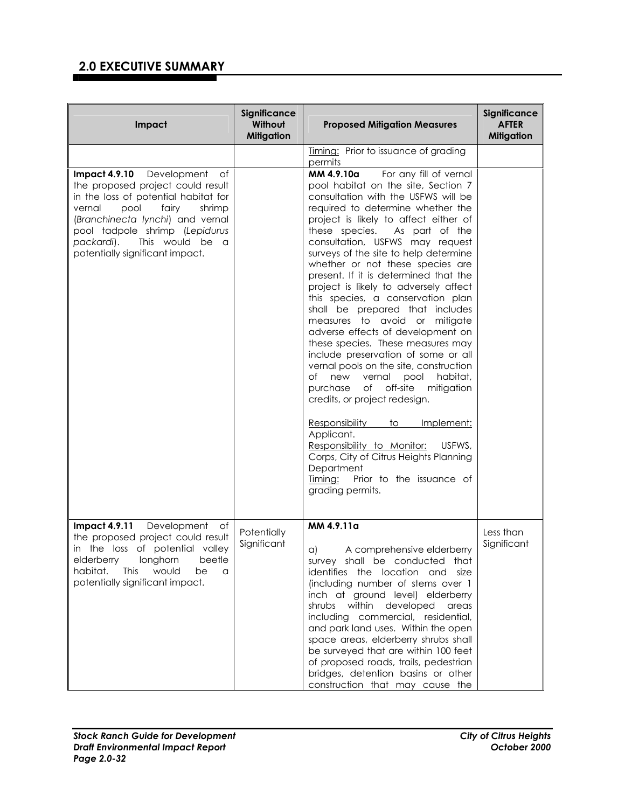| Impact                                                                                                                                                                                                                                                                                      | Significance<br>Without<br><b>Mitigation</b> | <b>Proposed Mitigation Measures</b>                                                                                                                                                                                                                                                                                                                                                                                                                                                                                                                                                                                                                                                                                                                                                                                                                                                                                                                                                                                                       | Significance<br><b>AFTER</b><br><b>Mitigation</b> |
|---------------------------------------------------------------------------------------------------------------------------------------------------------------------------------------------------------------------------------------------------------------------------------------------|----------------------------------------------|-------------------------------------------------------------------------------------------------------------------------------------------------------------------------------------------------------------------------------------------------------------------------------------------------------------------------------------------------------------------------------------------------------------------------------------------------------------------------------------------------------------------------------------------------------------------------------------------------------------------------------------------------------------------------------------------------------------------------------------------------------------------------------------------------------------------------------------------------------------------------------------------------------------------------------------------------------------------------------------------------------------------------------------------|---------------------------------------------------|
|                                                                                                                                                                                                                                                                                             |                                              | Timing: Prior to issuance of grading<br>permits                                                                                                                                                                                                                                                                                                                                                                                                                                                                                                                                                                                                                                                                                                                                                                                                                                                                                                                                                                                           |                                                   |
| Impact 4.9.10 Development<br>of<br>the proposed project could result<br>in the loss of potential habitat for<br>fairy<br>vernal<br>pool<br>shrimp<br>(Branchinecta lynchi) and vernal<br>pool tadpole shrimp (Lepidurus<br>This would be a<br>packardi).<br>potentially significant impact. |                                              | For any fill of vernal<br>MM 4.9.10a<br>pool habitat on the site, Section 7<br>consultation with the USFWS will be<br>required to determine whether the<br>project is likely to affect either of<br>these species. As part of the<br>consultation, USFWS may request<br>surveys of the site to help determine<br>whether or not these species are<br>present. If it is determined that the<br>project is likely to adversely affect<br>this species, a conservation plan<br>shall be prepared that includes<br>measures to avoid or mitigate<br>adverse effects of development on<br>these species. These measures may<br>include preservation of some or all<br>vernal pools on the site, construction<br>of new vernal<br>pool<br>habitat,<br>purchase of off-site<br>mitigation<br>credits, or project redesign.<br><b>Responsibility</b><br>Implement:<br>to<br>Applicant.<br>Responsibility to Monitor:<br>USFWS,<br>Corps, City of Citrus Heights Planning<br>Department<br>Prior to the issuance of<br>Timing:<br>grading permits. |                                                   |
| <b>Impact 4.9.11</b> Development<br>of<br>the proposed project could result<br>in the loss of potential valley<br>elderberry longhorn beetle<br>habitat.<br>would<br><b>This</b><br>be<br>a<br>potentially significant impact.                                                              | Potentially<br>Significant                   | MM 4.9.11a<br>$\alpha$<br>A comprehensive elderberry<br>survey shall be conducted that<br>identifies the location and size<br>(including number of stems over 1<br>inch at ground level) elderberry<br>shrubs within developed<br>areas<br>including commercial, residential,<br>and park land uses. Within the open<br>space areas, elderberry shrubs shall<br>be surveyed that are within 100 feet<br>of proposed roads, trails, pedestrian<br>bridges, detention basins or other<br>construction that may cause the                                                                                                                                                                                                                                                                                                                                                                                                                                                                                                                    | Less than<br>Significant                          |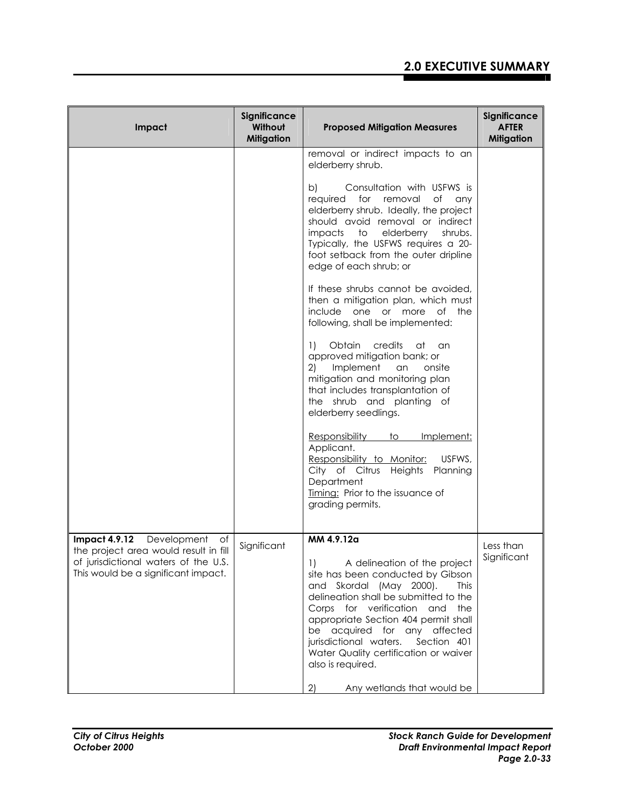| Impact                                                                                                                                                            | Significance<br>Without<br><b>Mitigation</b> | <b>Proposed Mitigation Measures</b>                                                                                                                                                                                                                                                                                                                                                                                           | Significance<br><b>AFTER</b><br>Mitigation |
|-------------------------------------------------------------------------------------------------------------------------------------------------------------------|----------------------------------------------|-------------------------------------------------------------------------------------------------------------------------------------------------------------------------------------------------------------------------------------------------------------------------------------------------------------------------------------------------------------------------------------------------------------------------------|--------------------------------------------|
|                                                                                                                                                                   |                                              | removal or indirect impacts to an<br>elderberry shrub.                                                                                                                                                                                                                                                                                                                                                                        |                                            |
|                                                                                                                                                                   |                                              | Consultation with USFWS is<br>b)<br>for removal<br>required<br>of any<br>elderberry shrub. Ideally, the project<br>should avoid removal or indirect<br>impacts to elderberry<br>shrubs.<br>Typically, the USFWS requires a 20-<br>foot setback from the outer dripline<br>edge of each shrub; or                                                                                                                              |                                            |
|                                                                                                                                                                   |                                              | If these shrubs cannot be avoided,<br>then a mitigation plan, which must<br>include one or more of the<br>following, shall be implemented:                                                                                                                                                                                                                                                                                    |                                            |
|                                                                                                                                                                   |                                              | Obtain credits<br>1)<br>at an<br>approved mitigation bank; or<br>2) Implement an<br>onsite<br>mitigation and monitoring plan<br>that includes transplantation of<br>the shrub and planting of<br>elderberry seedlings.                                                                                                                                                                                                        |                                            |
|                                                                                                                                                                   |                                              | Responsibility<br>to<br>Implement:<br>Applicant.<br>Responsibility to Monitor:<br>USFWS,<br>City of Citrus Heights Planning<br>Department<br>Timing: Prior to the issuance of<br>grading permits.                                                                                                                                                                                                                             |                                            |
| <b>Impact 4.9.12</b><br>Development<br>of<br>the project area would result in fill<br>of jurisdictional waters of the U.S.<br>This would be a significant impact. | Significant                                  | MM 4.9.12a<br>1) A delineation of the project<br>site has been conducted by Gibson<br>and Skordal (May 2000).<br><b>This</b><br>delineation shall be submitted to the<br>Corps for verification and<br>the<br>appropriate Section 404 permit shall<br>be acquired for any affected<br>jurisdictional waters.<br>Section 401<br>Water Quality certification or waiver<br>also is required.<br>2)<br>Any wetlands that would be | Less than<br>Significant                   |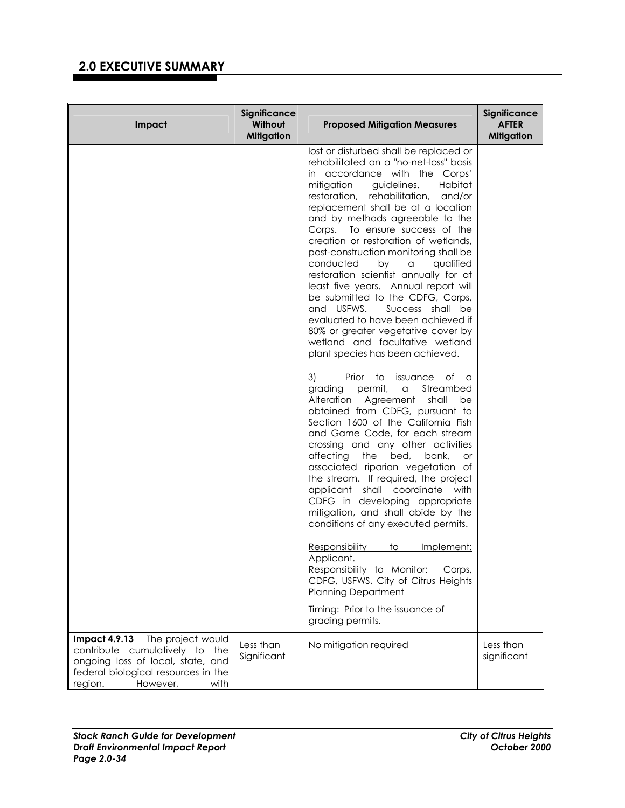| Impact                                                                                                                                    | <b>Significance</b><br>Without<br><b>Mitigation</b> | <b>Proposed Mitigation Measures</b>                                                                                                                                                                                                                                                                                                                                                                                                                                                                                                                                                                                                                                                                                                                                    | Significance<br><b>AFTER</b><br><b>Mitigation</b> |
|-------------------------------------------------------------------------------------------------------------------------------------------|-----------------------------------------------------|------------------------------------------------------------------------------------------------------------------------------------------------------------------------------------------------------------------------------------------------------------------------------------------------------------------------------------------------------------------------------------------------------------------------------------------------------------------------------------------------------------------------------------------------------------------------------------------------------------------------------------------------------------------------------------------------------------------------------------------------------------------------|---------------------------------------------------|
|                                                                                                                                           |                                                     | lost or disturbed shall be replaced or<br>rehabilitated on a "no-net-loss" basis<br>in accordance with the Corps'<br>mitigation<br>guidelines.<br>Habitat<br>restoration, rehabilitation, and/or<br>replacement shall be at a location<br>and by methods agreeable to the<br>Corps. To ensure success of the<br>creation or restoration of wetlands,<br>post-construction monitoring shall be<br>conducted<br>qualified<br>by<br>$\alpha$<br>restoration scientist annually for at<br>least five years. Annual report will<br>be submitted to the CDFG, Corps,<br>and USFWS.<br>Success shall be<br>evaluated to have been achieved if<br>80% or greater vegetative cover by<br>wetland and facultative wetland<br>plant species has been achieved.                    |                                                   |
|                                                                                                                                           |                                                     | 3)<br>Prior to issuance of a<br>permit,<br>grading<br>Streambed<br>$\alpha$<br>Alteration Agreement<br>shall<br>be<br>obtained from CDFG, pursuant to<br>Section 1600 of the California Fish<br>and Game Code, for each stream<br>crossing and any other activities<br>affecting the<br>bed,<br>bank,<br><b>or</b><br>associated riparian vegetation of<br>the stream. If required, the project<br>applicant shall coordinate with<br>CDFG in developing appropriate<br>mitigation, and shall abide by the<br>conditions of any executed permits.<br><b>Responsibility</b><br>$t_{\rm O}$<br>Implement:<br>Applicant.<br>Responsibility to Monitor:<br>Corps,<br>CDFG, USFWS, City of Citrus Heights<br><b>Planning Department</b><br>Timing: Prior to the issuance of |                                                   |
| <b>Impact 4.9.13</b><br>The project would                                                                                                 | Less than                                           | grading permits.                                                                                                                                                                                                                                                                                                                                                                                                                                                                                                                                                                                                                                                                                                                                                       | Less than                                         |
| contribute cumulatively to the<br>ongoing loss of local, state, and<br>federal biological resources in the<br>region.<br>However,<br>with | Significant                                         | No mitigation required                                                                                                                                                                                                                                                                                                                                                                                                                                                                                                                                                                                                                                                                                                                                                 | significant                                       |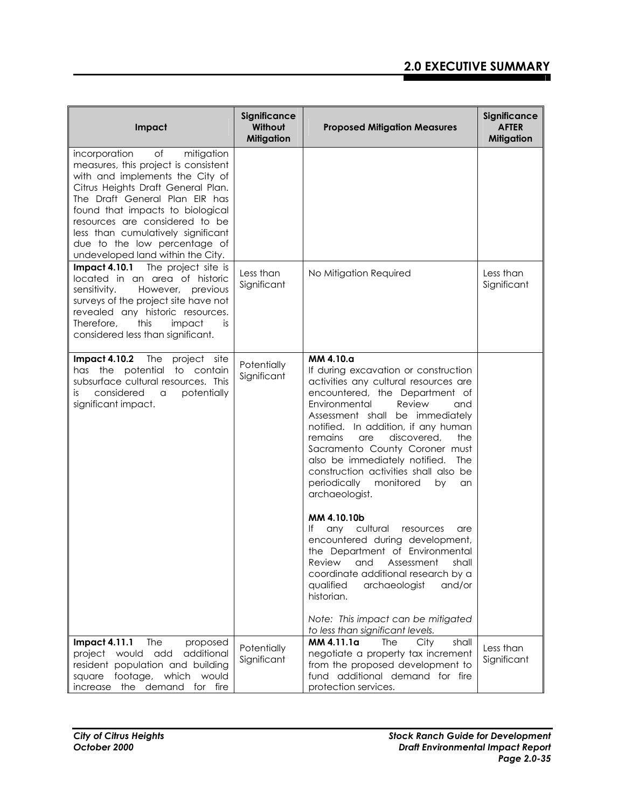| Impact                                                                                                                                                                                                                                                                                                                                                                | Significance<br>Without<br><b>Mitigation</b> | <b>Proposed Mitigation Measures</b>                                                                                                                                                                                                                                                                                                                                                                                                                                                                                                                                                                                                                                                                                                                                                                        | Significance<br><b>AFTER</b><br><b>Mitigation</b> |
|-----------------------------------------------------------------------------------------------------------------------------------------------------------------------------------------------------------------------------------------------------------------------------------------------------------------------------------------------------------------------|----------------------------------------------|------------------------------------------------------------------------------------------------------------------------------------------------------------------------------------------------------------------------------------------------------------------------------------------------------------------------------------------------------------------------------------------------------------------------------------------------------------------------------------------------------------------------------------------------------------------------------------------------------------------------------------------------------------------------------------------------------------------------------------------------------------------------------------------------------------|---------------------------------------------------|
| of<br>mitigation<br>incorporation<br>measures, this project is consistent<br>with and implements the City of<br>Citrus Heights Draft General Plan.<br>The Draft General Plan EIR has<br>found that impacts to biological<br>resources are considered to be<br>less than cumulatively significant<br>due to the low percentage of<br>undeveloped land within the City. |                                              |                                                                                                                                                                                                                                                                                                                                                                                                                                                                                                                                                                                                                                                                                                                                                                                                            |                                                   |
| <b>Impact 4.10.1</b> The project site is<br>located in an area of historic<br>sensitivity.<br>However, previous<br>surveys of the project site have not<br>revealed any historic resources.<br>Therefore,<br>this<br>impact<br>is<br>considered less than significant.                                                                                                | Less than<br>Significant                     | No Mitigation Required                                                                                                                                                                                                                                                                                                                                                                                                                                                                                                                                                                                                                                                                                                                                                                                     | Less than<br>Significant                          |
| Impact 4.10.2 The project site<br>has the potential to contain<br>subsurface cultural resources. This<br>considered<br>potentially<br>a<br>İS.<br>significant impact.                                                                                                                                                                                                 | Potentially<br>Significant                   | MM 4.10.a<br>If during excavation or construction<br>activities any cultural resources are<br>encountered, the Department of<br>Environmental<br>Review<br>and<br>Assessment shall be immediately<br>notified. In addition, if any human<br>remains<br>discovered,<br>are<br>the<br>Sacramento County Coroner must<br>also be immediately notified.<br><b>The</b><br>construction activities shall also be<br>periodically<br>monitored<br>by<br>an<br>archaeologist.<br>MM 4.10.10b<br>lf<br>any cultural<br>resources<br>are<br>encountered during development,<br>the Department of Environmental<br>Review and Assessment shall<br>coordinate additional research by a<br>qualified<br>archaeologist<br>and/or<br>historian.<br>Note: This impact can be mitigated<br>to less than significant levels. |                                                   |
| <b>Impact 4.11.1</b><br>The<br>proposed<br>would add<br>additional<br>project<br>resident population and building<br>footage, which<br>square<br>would<br>the demand<br>increase<br>for fire                                                                                                                                                                          | Potentially<br>Significant                   | MM 4.11.1a<br>City<br><b>The</b><br>shall<br>negotiate a property tax increment<br>from the proposed development to<br>fund additional demand for fire<br>protection services.                                                                                                                                                                                                                                                                                                                                                                                                                                                                                                                                                                                                                             | Less than<br>Significant                          |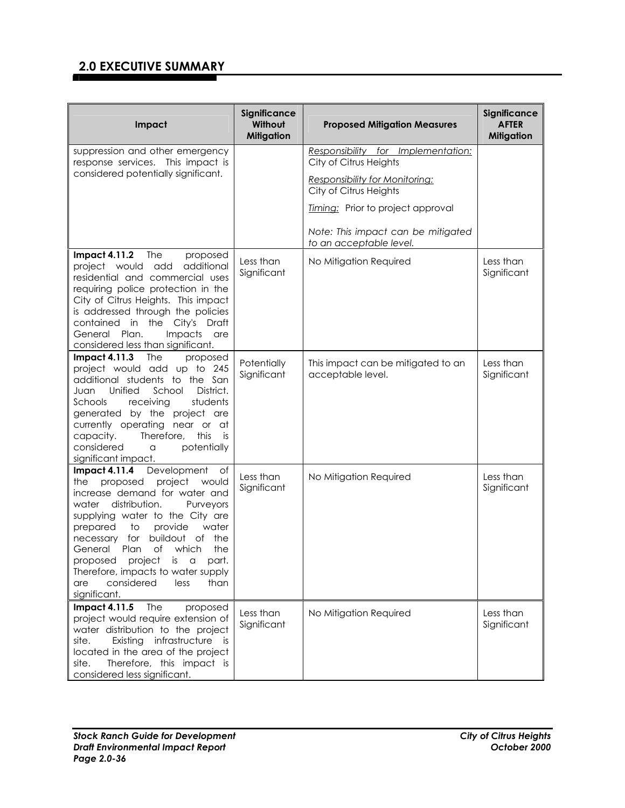| Impact                                                                                                                                                                                                                                                                                                                                                                                                                          | Significance<br>Without<br><b>Mitigation</b> | <b>Proposed Mitigation Measures</b>                             | Significance<br><b>AFTER</b><br><b>Mitigation</b> |
|---------------------------------------------------------------------------------------------------------------------------------------------------------------------------------------------------------------------------------------------------------------------------------------------------------------------------------------------------------------------------------------------------------------------------------|----------------------------------------------|-----------------------------------------------------------------|---------------------------------------------------|
| suppression and other emergency<br>response services. This impact is                                                                                                                                                                                                                                                                                                                                                            |                                              | Responsibility for Implementation:<br>City of Citrus Heights    |                                                   |
| considered potentially significant.                                                                                                                                                                                                                                                                                                                                                                                             |                                              | <b>Responsibility for Monitoring:</b><br>City of Citrus Heights |                                                   |
|                                                                                                                                                                                                                                                                                                                                                                                                                                 |                                              | Timing: Prior to project approval                               |                                                   |
|                                                                                                                                                                                                                                                                                                                                                                                                                                 |                                              | Note: This impact can be mitigated<br>to an acceptable level.   |                                                   |
| Impact 4.11.2 The<br>proposed<br>additional<br>project would add<br>residential and commercial uses<br>requiring police protection in the<br>City of Citrus Heights. This impact<br>is addressed through the policies<br>contained in the City's Draft<br>General Plan.<br>Impacts<br>are<br>considered less than significant.                                                                                                  | Less than<br>Significant                     | No Mitigation Required                                          | Less than<br>Significant                          |
| <b>Impact 4.11.3</b><br>The<br>proposed<br>project would add up to 245<br>additional students to the San<br>Unified<br>School<br>District.<br>Juan<br>receiving<br>students<br>Schools<br>generated by the project are<br>currently operating near or at<br>Therefore,<br>capacity.<br>this<br>is<br>considered<br>potentially<br>a<br>significant impact.                                                                      | Potentially<br>Significant                   | This impact can be mitigated to an<br>acceptable level.         | Less than<br>Significant                          |
| <b>Impact 4.11.4</b><br>Development<br>of<br>project<br>proposed<br>would<br>the<br>increase demand for water and<br>water distribution.<br>Purveyors<br>supplying water to the City are<br>water<br>prepared<br>to<br>provide<br>necessary for buildout of the<br>of which<br>General<br>Plan<br>the<br>proposed project is a part.<br>Therefore, impacts to water supply<br>considered<br>less<br>than<br>are<br>significant. | Less than<br>Significant                     | No Mitigation Required                                          | Less than<br>Significant                          |
| proposed<br><b>Impact 4.11.5</b><br><b>The</b><br>project would require extension of<br>water distribution to the project<br>Existing infrastructure is<br>site.<br>located in the area of the project<br>Therefore, this impact is<br>site.<br>considered less significant.                                                                                                                                                    | Less than<br>Significant                     | No Mitigation Required                                          | Less than<br>Significant                          |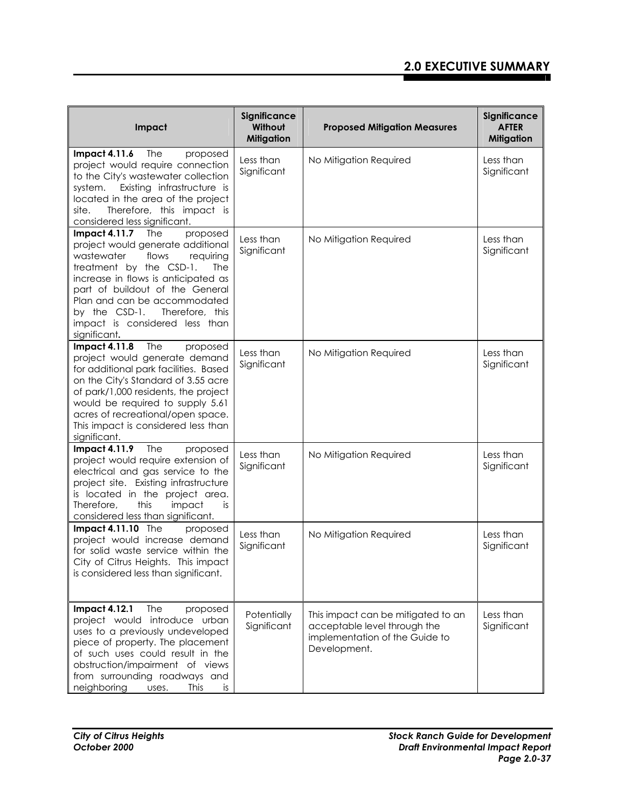| Impact                                                                                                                                                                                                                                                                                                                                          | Significance<br>Without<br><b>Mitigation</b> | <b>Proposed Mitigation Measures</b>                                                                                  | Significance<br><b>AFTER</b><br><b>Mitigation</b> |
|-------------------------------------------------------------------------------------------------------------------------------------------------------------------------------------------------------------------------------------------------------------------------------------------------------------------------------------------------|----------------------------------------------|----------------------------------------------------------------------------------------------------------------------|---------------------------------------------------|
| The<br><b>Impact 4.11.6</b><br>proposed<br>project would require connection<br>to the City's wastewater collection<br>Existing infrastructure is<br>system.<br>located in the area of the project<br>Therefore, this impact is<br>site.<br>considered less significant.                                                                         | Less than<br>Significant                     | No Mitigation Required                                                                                               | Less than<br>Significant                          |
| Impact 4.11.7 The<br>proposed<br>project would generate additional<br>wastewater<br>flows<br>requiring<br>treatment by the CSD-1.<br><b>The</b><br>increase in flows is anticipated as<br>part of buildout of the General<br>Plan and can be accommodated<br>by the CSD-1.<br>Therefore, this<br>impact is considered less than<br>significant. | Less than<br>Significant                     | No Mitigation Required                                                                                               | Less than<br>Significant                          |
| <b>Impact 4.11.8</b><br>The<br>proposed<br>project would generate demand<br>for additional park facilities. Based<br>on the City's Standard of 3.55 acre<br>of park/1,000 residents, the project<br>would be required to supply 5.61<br>acres of recreational/open space.<br>This impact is considered less than<br>significant.                | Less than<br>Significant                     | No Mitigation Required                                                                                               | Less than<br>Significant                          |
| <b>Impact 4.11.9</b><br><b>The</b><br>proposed<br>project would require extension of<br>electrical and gas service to the<br>project site. Existing infrastructure<br>is located in the project area.<br>Therefore,<br>this<br>impact<br>is<br>considered less than significant.                                                                | Less than<br>Significant                     | No Mitigation Required                                                                                               | Less than<br>Significant                          |
| Impact 4.11.10 The<br>proposed<br>project would increase demand<br>for solid waste service within the<br>City of Citrus Heights. This impact<br>is considered less than significant.                                                                                                                                                            | Less than<br>Significant                     | No Mitigation Required                                                                                               | Less than<br>Significant                          |
| <b>Impact 4.12.1</b><br><b>The</b><br>proposed<br>project would introduce urban<br>uses to a previously undeveloped<br>piece of property. The placement<br>of such uses could result in the<br>obstruction/impairment of views<br>from surrounding roadways and<br>neighboring<br><b>This</b><br>is<br>uses.                                    | Potentially<br>Significant                   | This impact can be mitigated to an<br>acceptable level through the<br>implementation of the Guide to<br>Development. | Less than<br>Significant                          |